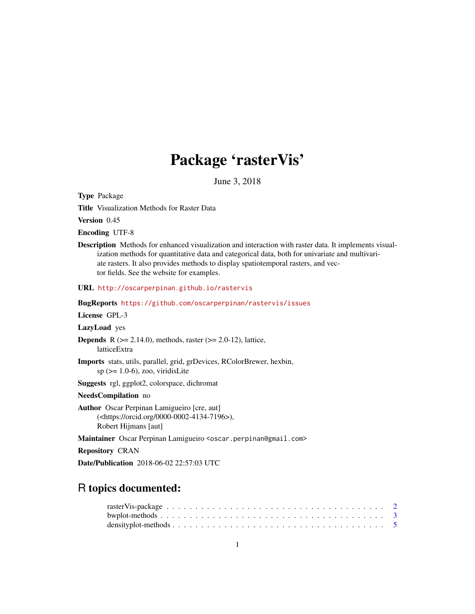# Package 'rasterVis'

June 3, 2018

<span id="page-0-0"></span>Type Package

Title Visualization Methods for Raster Data

Version 0.45

Encoding UTF-8

Description Methods for enhanced visualization and interaction with raster data. It implements visualization methods for quantitative data and categorical data, both for univariate and multivariate rasters. It also provides methods to display spatiotemporal rasters, and vector fields. See the website for examples.

URL <http://oscarperpinan.github.io/rastervis>

BugReports <https://github.com/oscarperpinan/rastervis/issues>

License GPL-3

LazyLoad yes

**Depends** R ( $>= 2.14.0$ ), methods, raster ( $>= 2.0-12$ ), lattice, latticeExtra

Imports stats, utils, parallel, grid, grDevices, RColorBrewer, hexbin,  $sp$  ( $>= 1.0-6$ ), zoo, viridisLite

Suggests rgl, ggplot2, colorspace, dichromat

NeedsCompilation no

Author Oscar Perpinan Lamigueiro [cre, aut] (<https://orcid.org/0000-0002-4134-7196>), Robert Hijmans [aut]

Maintainer Oscar Perpinan Lamigueiro <oscar.perpinan@gmail.com>

Repository CRAN

Date/Publication 2018-06-02 22:57:03 UTC

# R topics documented: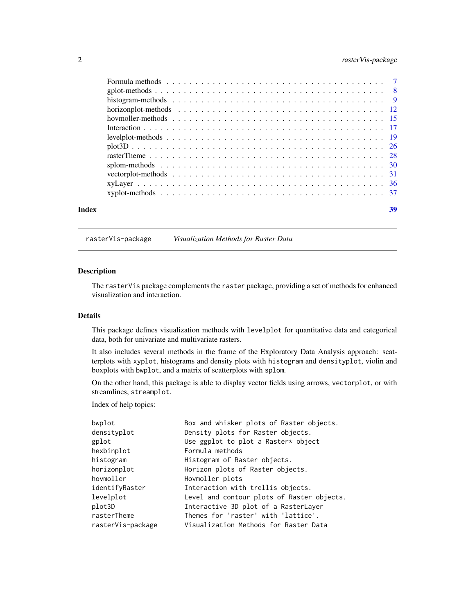# <span id="page-1-0"></span>2 rasterVis-package

|       | Formula methods response to the contract of the contract of the contract of the contract of the contract of the contract of the contract of the contract of the contract of the contract of the contract of the contract of th |    |
|-------|--------------------------------------------------------------------------------------------------------------------------------------------------------------------------------------------------------------------------------|----|
|       |                                                                                                                                                                                                                                |    |
|       |                                                                                                                                                                                                                                |    |
|       |                                                                                                                                                                                                                                |    |
|       |                                                                                                                                                                                                                                |    |
|       |                                                                                                                                                                                                                                |    |
|       |                                                                                                                                                                                                                                |    |
|       |                                                                                                                                                                                                                                |    |
|       |                                                                                                                                                                                                                                |    |
|       |                                                                                                                                                                                                                                |    |
|       |                                                                                                                                                                                                                                |    |
|       |                                                                                                                                                                                                                                |    |
|       |                                                                                                                                                                                                                                |    |
| Index |                                                                                                                                                                                                                                | 39 |

rasterVis-package *Visualization Methods for Raster Data*

# Description

The rasterVis package complements the raster package, providing a set of methods for enhanced visualization and interaction.

#### Details

This package defines visualization methods with levelplot for quantitative data and categorical data, both for univariate and multivariate rasters.

It also includes several methods in the frame of the Exploratory Data Analysis approach: scatterplots with xyplot, histograms and density plots with histogram and densityplot, violin and boxplots with bwplot, and a matrix of scatterplots with splom.

On the other hand, this package is able to display vector fields using arrows, vectorplot, or with streamlines, streamplot.

Index of help topics:

| Box and whisker plots of Raster objects.   |
|--------------------------------------------|
| Density plots for Raster objects.          |
| Use ggplot to plot a Raster* object        |
| Formula methods                            |
| Histogram of Raster objects.               |
| Horizon plots of Raster objects.           |
| Hovmoller plots                            |
| Interaction with trellis objects.          |
| Level and contour plots of Raster objects. |
| Interactive 3D plot of a RasterLayer       |
| Themes for 'raster' with 'lattice'.        |
| Visualization Methods for Raster Data      |
|                                            |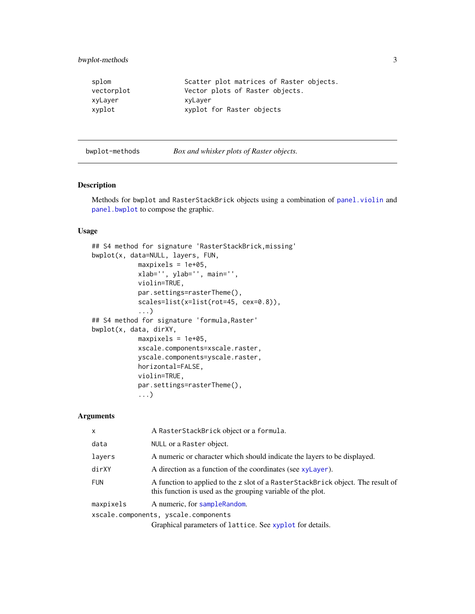# <span id="page-2-0"></span>bwplot-methods 3

| splom      | Scatter plot matrices of Raster objects. |
|------------|------------------------------------------|
| vectorplot | Vector plots of Raster objects.          |
| xyLayer    | xyLayer                                  |
| xyplot     | xyplot for Raster objects                |

bwplot-methods *Box and whisker plots of Raster objects.*

# <span id="page-2-1"></span>Description

Methods for bwplot and RasterStackBrick objects using a combination of [panel.violin](#page-0-0) and [panel.bwplot](#page-0-0) to compose the graphic.

#### Usage

```
## S4 method for signature 'RasterStackBrick,missing'
bwplot(x, data=NULL, layers, FUN,
            maxpixels = 1e+05,
            xlab='', ylab='', main='',
            violin=TRUE,
            par.settings=rasterTheme(),
            scales=list(x=list(rot=45, cex=0.8)),
            ...)
## S4 method for signature 'formula,Raster'
bwplot(x, data, dirXY,
            maxpixels = 1e+05,
            xscale.components=xscale.raster,
            yscale.components=yscale.raster,
            horizontal=FALSE,
            violin=TRUE,
            par.settings=rasterTheme(),
            ...)
```

| $\mathsf{x}$ | A RasterStackBrick object or a formula.                                                                                                        |
|--------------|------------------------------------------------------------------------------------------------------------------------------------------------|
| data         | NULL or a Raster object.                                                                                                                       |
| layers       | A numeric or character which should indicate the layers to be displayed.                                                                       |
| dirXY        | A direction as a function of the coordinates (see xyLayer).                                                                                    |
| <b>FUN</b>   | A function to applied to the z slot of a RasterStackBrick object. The result of<br>this function is used as the grouping variable of the plot. |
| maxpixels    | A numeric, for sample Random.                                                                                                                  |
|              | xscale.components, yscale.components                                                                                                           |
|              | $\alpha$ . The state of $\alpha$ is the state of $\alpha$ is the state of $\alpha$ is the state of $\alpha$                                    |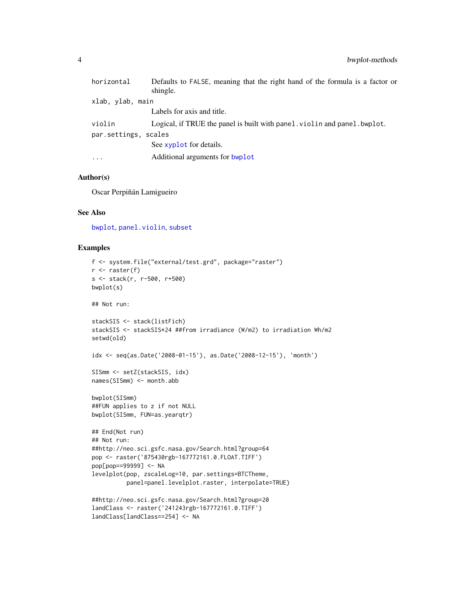<span id="page-3-0"></span>

| shingle.<br>xlab, ylab, main<br>Labels for axis and title.<br>violin<br>par.settings, scales<br>See xyplot for details. | horizontal | Defaults to FALSE, meaning that the right hand of the formula is a factor or |
|-------------------------------------------------------------------------------------------------------------------------|------------|------------------------------------------------------------------------------|
|                                                                                                                         |            |                                                                              |
|                                                                                                                         |            |                                                                              |
|                                                                                                                         |            |                                                                              |
|                                                                                                                         |            | Logical, if TRUE the panel is built with panel, violing and panel, bwplot.   |
|                                                                                                                         |            |                                                                              |
|                                                                                                                         |            |                                                                              |
|                                                                                                                         | $\cdots$   | Additional arguments for bwplot                                              |

### Author(s)

Oscar Perpiñán Lamigueiro

#### See Also

[bwplot](#page-2-1), [panel.violin](#page-0-0), [subset](#page-0-0)

```
f <- system.file("external/test.grd", package="raster")
r <- raster(f)
s <- stack(r, r-500, r+500)
bwplot(s)
## Not run:
stackSIS <- stack(listFich)
stackSIS <- stackSIS*24 ##from irradiance (W/m2) to irradiation Wh/m2
setwd(old)
idx <- seq(as.Date('2008-01-15'), as.Date('2008-12-15'), 'month')
SISmm <- setZ(stackSIS, idx)
names(SISmm) <- month.abb
bwplot(SISmm)
##FUN applies to z if not NULL
bwplot(SISmm, FUN=as.yearqtr)
## End(Not run)
## Not run:
##http://neo.sci.gsfc.nasa.gov/Search.html?group=64
pop <- raster('875430rgb-167772161.0.FLOAT.TIFF')
pop[pop==99999] <- NA
levelplot(pop, zscaleLog=10, par.settings=BTCTheme,
          panel=panel.levelplot.raster, interpolate=TRUE)
##http://neo.sci.gsfc.nasa.gov/Search.html?group=20
landClass <- raster('241243rgb-167772161.0.TIFF')
landClass[landClass==254] <- NA
```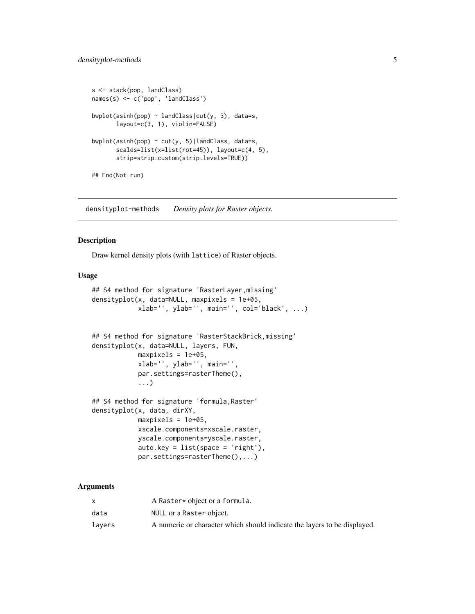```
s <- stack(pop, landClass)
names(s) <- c('pop', 'landClass')
bwplot(asinh(pop) \sim landClass|cut(y, 3), data=s,
       layout=c(3, 1), violin=FALSE)
bwplot(asinh(pop) \sim cut(y, 5)|landClass, data=s,
       scales=list(x=list(rot=45)), layout=c(4, 5),
       strip=strip.custom(strip.levels=TRUE))
## End(Not run)
```
densityplot-methods *Density plots for Raster objects.*

#### <span id="page-4-1"></span>Description

Draw kernel density plots (with lattice) of Raster objects.

#### Usage

```
## S4 method for signature 'RasterLayer,missing'
densityplot(x, data=NULL, maxpixels = 1e+05,
            xlab='', ylab='', main='', col='black', ...)
## S4 method for signature 'RasterStackBrick,missing'
densityplot(x, data=NULL, layers, FUN,
            maxpixels = 1e+05,
            xlab='', ylab='', main='',
            par.settings=rasterTheme(),
            ...)
## S4 method for signature 'formula,Raster'
densityplot(x, data, dirXY,
            maxpixels = 1e+05,
            xscale.components=xscale.raster,
            yscale.components=yscale.raster,
            auto.key = list(space = 'right'),par.settings=rasterTheme(),...)
```

|        | A Raster* object or a formula.                                           |
|--------|--------------------------------------------------------------------------|
| data   | NULL or a Raster object.                                                 |
| lavers | A numeric or character which should indicate the layers to be displayed. |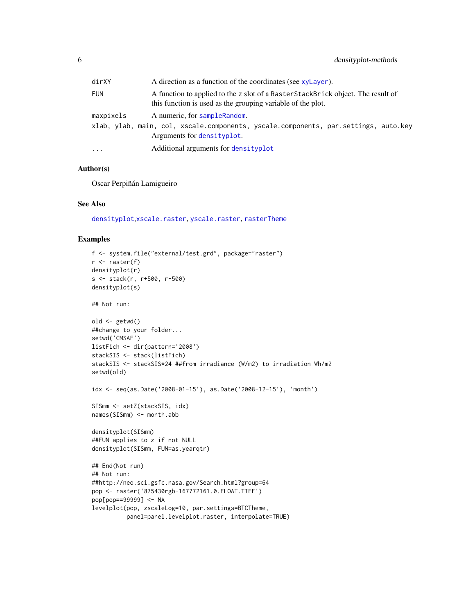<span id="page-5-0"></span>

| dirXY     | A direction as a function of the coordinates (see xyLayer).                                                                                        |
|-----------|----------------------------------------------------------------------------------------------------------------------------------------------------|
| FUN       | A function to applied to the z slot of a RasterStackBrick object. The result of<br>this function is used as the grouping variable of the plot.     |
| maxpixels | A numeric, for sample Random.<br>xlab, ylab, main, col, xscale.components, yscale.components, par.settings, auto.key<br>Arguments for densityplot. |
| .         | Additional arguments for densityplot                                                                                                               |

# Author(s)

Oscar Perpiñán Lamigueiro

# See Also

[densityplot](#page-4-1),[xscale.raster](#page-27-1), [yscale.raster](#page-27-1), [rasterTheme](#page-27-2)

```
f <- system.file("external/test.grd", package="raster")
r <- raster(f)
densityplot(r)
s <- stack(r, r+500, r-500)
densityplot(s)
## Not run:
old <- getwd()
##change to your folder...
setwd('CMSAF')
listFich <- dir(pattern='2008')
stackSIS <- stack(listFich)
stackSIS <- stackSIS*24 ##from irradiance (W/m2) to irradiation Wh/m2
setwd(old)
idx <- seq(as.Date('2008-01-15'), as.Date('2008-12-15'), 'month')
SISmm <- setZ(stackSIS, idx)
names(SISmm) <- month.abb
densityplot(SISmm)
##FUN applies to z if not NULL
densityplot(SISmm, FUN=as.yearqtr)
## End(Not run)
## Not run:
##http://neo.sci.gsfc.nasa.gov/Search.html?group=64
pop <- raster('875430rgb-167772161.0.FLOAT.TIFF')
pop[pop==99999] <- NA
levelplot(pop, zscaleLog=10, par.settings=BTCTheme,
          panel=panel.levelplot.raster, interpolate=TRUE)
```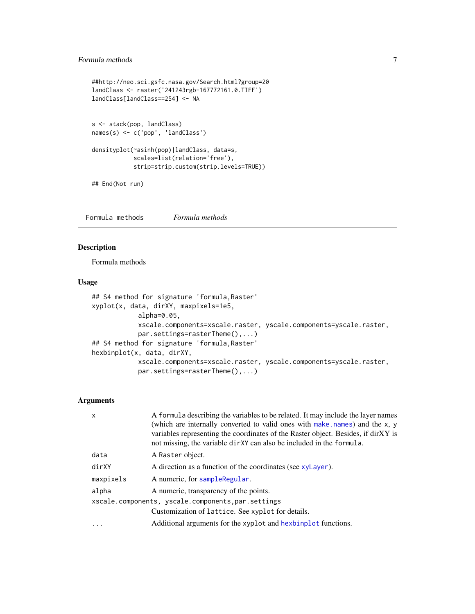# <span id="page-6-0"></span>Formula methods 7

```
##http://neo.sci.gsfc.nasa.gov/Search.html?group=20
landClass <- raster('241243rgb-167772161.0.TIFF')
landClass[landClass==254] <- NA
s <- stack(pop, landClass)
names(s) <- c('pop', 'landClass')
densityplot(~asinh(pop)|landClass, data=s,
            scales=list(relation='free'),
            strip=strip.custom(strip.levels=TRUE))
## End(Not run)
```
Formula methods *Formula methods*

# <span id="page-6-1"></span>Description

Formula methods

# Usage

```
## S4 method for signature 'formula, Raster'
xyplot(x, data, dirXY, maxpixels=1e5,
            alpha=0.05,
            xscale.components=xscale.raster, yscale.components=yscale.raster,
            par.settings=rasterTheme(),...)
## S4 method for signature 'formula,Raster'
hexbinplot(x, data, dirXY,
            xscale.components=xscale.raster, yscale.components=yscale.raster,
            par.settings=rasterTheme(),...)
```

| $\mathsf{x}$ | A formula describing the variables to be related. It may include the layer names<br>(which are internally converted to valid ones with make names) and the x, y<br>variables representing the coordinates of the Raster object. Besides, if dirXY is<br>not missing, the variable dirXY can also be included in the formula. |
|--------------|------------------------------------------------------------------------------------------------------------------------------------------------------------------------------------------------------------------------------------------------------------------------------------------------------------------------------|
| data         | A Raster object.                                                                                                                                                                                                                                                                                                             |
| dirXY        | A direction as a function of the coordinates (see xyLayer).                                                                                                                                                                                                                                                                  |
| maxpixels    | A numeric, for sampleRegular.                                                                                                                                                                                                                                                                                                |
| alpha        | A numeric, transparency of the points.                                                                                                                                                                                                                                                                                       |
|              | xscale.components, yscale.components, par.settings                                                                                                                                                                                                                                                                           |
|              | Customization of lattice. See xyplot for details.                                                                                                                                                                                                                                                                            |
| $\cdot$      | Additional arguments for the xyplot and hexbinplot functions.                                                                                                                                                                                                                                                                |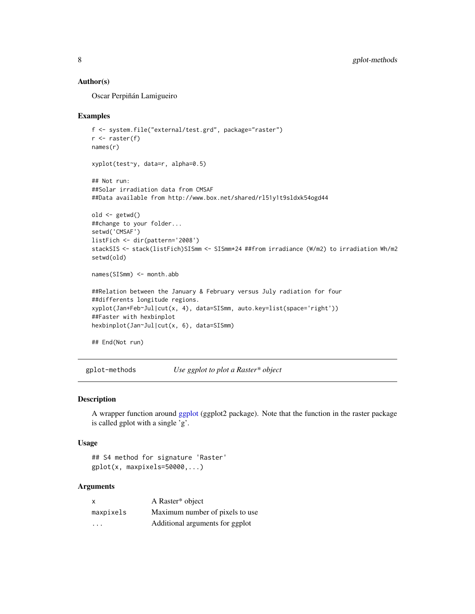#### <span id="page-7-0"></span>Author(s)

Oscar Perpiñán Lamigueiro

#### Examples

```
f <- system.file("external/test.grd", package="raster")
r <- raster(f)
names(r)
xyplot(test~y, data=r, alpha=0.5)
## Not run:
##Solar irradiation data from CMSAF
##Data available from http://www.box.net/shared/rl51y1t9sldxk54ogd44
old <- getwd()
##change to your folder...
setwd('CMSAF')
listFich <- dir(pattern='2008')
stackSIS <- stack(listFich)SISmm <- SISmm*24 ##from irradiance (W/m2) to irradiation Wh/m2
setwd(old)
names(SISmm) <- month.abb
##Relation between the January & February versus July radiation for four
##differents longitude regions.
xyplot(Jan+Feb~Jul|cut(x, 4), data=SISmm, auto.key=list(space='right'))
##Faster with hexbinplot
hexbinplot(Jan~Jul|cut(x, 6), data=SISmm)
## End(Not run)
```
gplot-methods *Use ggplot to plot a Raster\* object*

#### Description

A wrapper function around [ggplot](#page-0-0) (ggplot2 package). Note that the function in the raster package is called gplot with a single 'g'.

# Usage

```
## S4 method for signature 'Raster'
gplot(x, maxpixels=50000,...)
```

| $\boldsymbol{\mathsf{x}}$ | A Raster* object                |
|---------------------------|---------------------------------|
| maxpixels                 | Maximum number of pixels to use |
| $\cdot$ $\cdot$ $\cdot$   | Additional arguments for ggplot |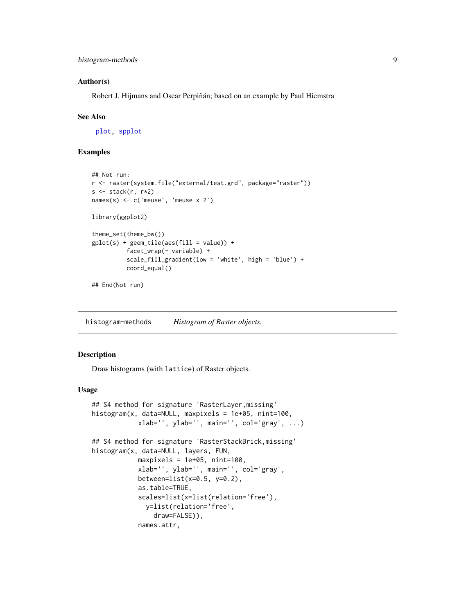#### <span id="page-8-0"></span>Author(s)

Robert J. Hijmans and Oscar Perpiñán; based on an example by Paul Hiemstra

#### See Also

[plot,](#page-0-0) [spplot](#page-0-0)

# Examples

```
## Not run:
r <- raster(system.file("external/test.grd", package="raster"))
s \leftarrow \text{stack}(r, r \star 2)names(s) <- c('meuse', 'meuse x 2')
library(ggplot2)
theme_set(theme_bw())
gplot(s) + geom\_tile(aes(fill = value)) +facet_wrap(~ variable) +
          scale_fill_gradient(low = 'white', high = 'blue') +
          coord_equal()
```
## End(Not run)

histogram-methods *Histogram of Raster objects.*

# <span id="page-8-1"></span>Description

Draw histograms (with lattice) of Raster objects.

#### Usage

```
## S4 method for signature 'RasterLayer,missing'
histogram(x, data=NULL, maxpixels = 1e+05, nint=100,
            xlab='', ylab='', main='', col='gray', ...)
## S4 method for signature 'RasterStackBrick,missing'
histogram(x, data=NULL, layers, FUN,
            maxpixels = 1e+05, nint=100,
            xlab='', ylab='', main='', col='gray',
            between=list(x=0.5, y=0.2),
            as.table=TRUE,
            scales=list(x=list(relation='free'),
              y=list(relation='free',
                draw=FALSE)),
            names.attr,
```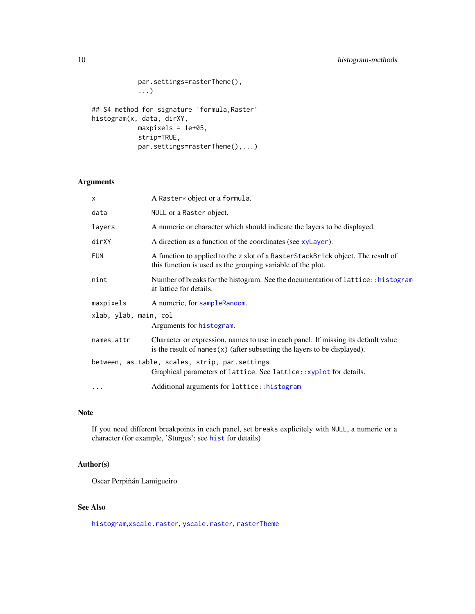```
par.settings=rasterTheme(),
            ...)
## S4 method for signature 'formula,Raster'
histogram(x, data, dirXY,
            maxpixels = 1e+05,
            strip=TRUE,
            par.settings=rasterTheme(),...)
```
# Arguments

| $\boldsymbol{\mathsf{x}}$ | A Raster* object or a formula.                                                                                                                                   |  |  |  |
|---------------------------|------------------------------------------------------------------------------------------------------------------------------------------------------------------|--|--|--|
| data                      | NULL or a Raster object.                                                                                                                                         |  |  |  |
| layers                    | A numeric or character which should indicate the layers to be displayed.                                                                                         |  |  |  |
| dirXY                     | A direction as a function of the coordinates (see xyLayer).                                                                                                      |  |  |  |
| <b>FUN</b>                | A function to applied to the z slot of a RasterStackBrick object. The result of<br>this function is used as the grouping variable of the plot.                   |  |  |  |
| nint                      | Number of breaks for the histogram. See the documentation of lattice::histogram<br>at lattice for details.                                                       |  |  |  |
| maxpixels                 | A numeric, for sampleRandom.                                                                                                                                     |  |  |  |
| xlab, ylab, main, col     |                                                                                                                                                                  |  |  |  |
|                           | Arguments for histogram.                                                                                                                                         |  |  |  |
| names.attr                | Character or expression, names to use in each panel. If missing its default value<br>is the result of names $(x)$ (after subsetting the layers to be displayed). |  |  |  |
|                           | between, as.table, scales, strip, par.settings<br>Graphical parameters of lattice. See lattice:: xyplot for details.                                             |  |  |  |
| $\cdots$                  | Additional arguments for lattice:: histogram                                                                                                                     |  |  |  |

# Note

If you need different breakpoints in each panel, set breaks explicitely with NULL, a numeric or a character (for example, 'Sturges'; see [hist](#page-0-0) for details)

# Author(s)

Oscar Perpiñán Lamigueiro

# See Also

[histogram](#page-8-1),[xscale.raster](#page-27-1), [yscale.raster](#page-27-1), [rasterTheme](#page-27-2)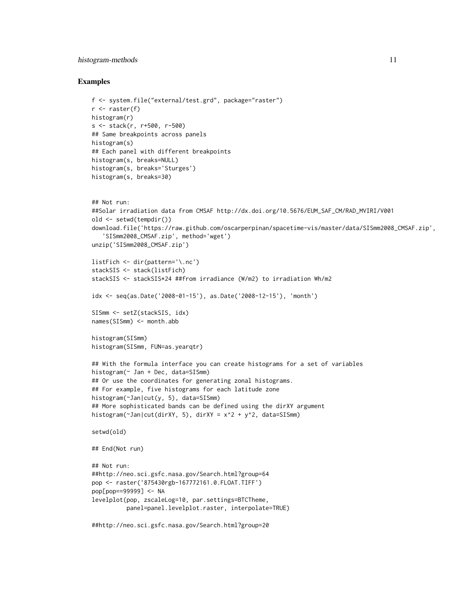# histogram-methods 11

#### Examples

```
f <- system.file("external/test.grd", package="raster")
r \leftarrow raster(f)
histogram(r)
s <- stack(r, r+500, r-500)
## Same breakpoints across panels
histogram(s)
## Each panel with different breakpoints
histogram(s, breaks=NULL)
histogram(s, breaks='Sturges')
histogram(s, breaks=30)
## Not run:
##Solar irradiation data from CMSAF http://dx.doi.org/10.5676/EUM_SAF_CM/RAD_MVIRI/V001
old <- setwd(tempdir())
download.file('https://raw.github.com/oscarperpinan/spacetime-vis/master/data/SISmm2008_CMSAF.zip',
   'SISmm2008_CMSAF.zip', method='wget')
unzip('SISmm2008_CMSAF.zip')
listFich <- dir(pattern='\.nc')
stackSIS <- stack(listFich)
stackSIS <- stackSIS*24 ##from irradiance (W/m2) to irradiation Wh/m2
idx <- seq(as.Date('2008-01-15'), as.Date('2008-12-15'), 'month')
SISmm <- setZ(stackSIS, idx)
names(SISmm) <- month.abb
histogram(SISmm)
histogram(SISmm, FUN=as.yearqtr)
## With the formula interface you can create histograms for a set of variables
histogram(~ Jan + Dec, data=SISmm)
## Or use the coordinates for generating zonal histograms.
## For example, five histograms for each latitude zone
histogram(~Jan|cut(y, 5), data=SISmm)
## More sophisticated bands can be defined using the dirXY argument
histogram(~Jan|cut(dirXY, 5), dirXY = x^2 + y^2, data=SISmm)
setwd(old)
## End(Not run)
## Not run:
##http://neo.sci.gsfc.nasa.gov/Search.html?group=64
pop <- raster('875430rgb-167772161.0.FLOAT.TIFF')
pop[pop==99999] <- NA
levelplot(pop, zscaleLog=10, par.settings=BTCTheme,
          panel=panel.levelplot.raster, interpolate=TRUE)
```
##http://neo.sci.gsfc.nasa.gov/Search.html?group=20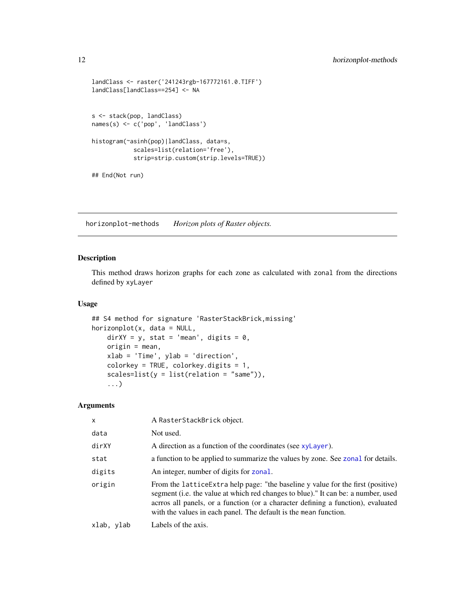```
landClass <- raster('241243rgb-167772161.0.TIFF')
landClass[landClass==254] <- NA
s <- stack(pop, landClass)
names(s) <- c('pop', 'landClass')
histogram(~asinh(pop)|landClass, data=s,
            scales=list(relation='free'),
            strip=strip.custom(strip.levels=TRUE))
## End(Not run)
```
horizonplot-methods *Horizon plots of Raster objects.*

# <span id="page-11-1"></span>Description

This method draws horizon graphs for each zone as calculated with zonal from the directions defined by xyLayer

# Usage

```
## S4 method for signature 'RasterStackBrick,missing'
horizonplot(x, data = NULL,
   dirXY = y, stat = 'mean', digits = 0,
   origin = mean,
   xlab = 'Time', ylab = 'direction',
    colorkey = TRUE, colorkey.digits = 1,
    scales=list(y = list(relation = "same")),
    ...)
```

| X          | A RasterStackBrick object.                                                                                                                                                                                                                                                                                                    |
|------------|-------------------------------------------------------------------------------------------------------------------------------------------------------------------------------------------------------------------------------------------------------------------------------------------------------------------------------|
| data       | Not used.                                                                                                                                                                                                                                                                                                                     |
| dirXY      | A direction as a function of the coordinates (see xyLayer).                                                                                                                                                                                                                                                                   |
| stat       | a function to be applied to summarize the values by zone. See zonal for details.                                                                                                                                                                                                                                              |
| digits     | An integer, number of digits for zonal.                                                                                                                                                                                                                                                                                       |
| origin     | From the lattice Extra help page: "the baseline y value for the first (positive)<br>segment (i.e. the value at which red changes to blue)." It can be: a number, used<br>acrros all panels, or a function (or a character defining a function), evaluated<br>with the values in each panel. The default is the mean function. |
| xlab, ylab | Labels of the axis.                                                                                                                                                                                                                                                                                                           |

<span id="page-11-0"></span>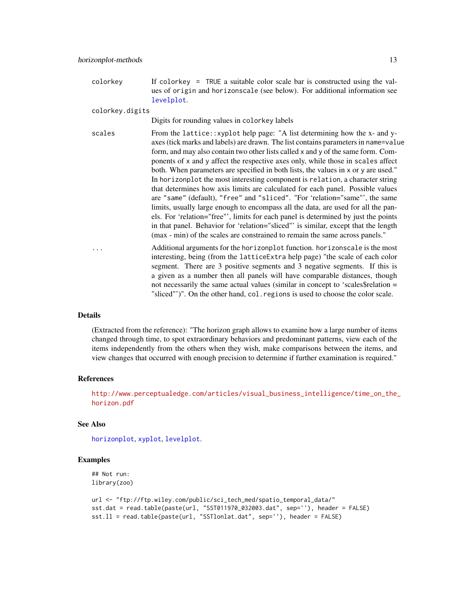<span id="page-12-0"></span>colorkey If colorkey = TRUE a suitable color scale bar is constructed using the values of origin and horizonscale (see below). For additional information see [levelplot](#page-18-1).

colorkey.digits

Digits for rounding values in colorkey labels

- scales From the lattice::xyplot help page: "A list determining how the x- and yaxes (tick marks and labels) are drawn. The list contains parameters in name=value form, and may also contain two other lists called x and y of the same form. Components of x and y affect the respective axes only, while those in scales affect both. When parameters are specified in both lists, the values in x or y are used." In horizonplot the most interesting component is relation, a character string that determines how axis limits are calculated for each panel. Possible values are "same" (default), "free" and "sliced". "For 'relation="same"', the same limits, usually large enough to encompass all the data, are used for all the panels. For 'relation="free"', limits for each panel is determined by just the points in that panel. Behavior for 'relation="sliced"' is similar, except that the length (max - min) of the scales are constrained to remain the same across panels." ... Additional arguments for the horizonplot function. horizonscale is the most
	- interesting, being (from the latticeExtra help page) "the scale of each color segment. There are 3 positive segments and 3 negative segments. If this is a given as a number then all panels will have comparable distances, though not necessarily the same actual values (similar in concept to 'scales\$relation = "sliced"')". On the other hand, col.regions is used to choose the color scale.

#### Details

(Extracted from the reference): "The horizon graph allows to examine how a large number of items changed through time, to spot extraordinary behaviors and predominant patterns, view each of the items independently from the others when they wish, make comparisons between the items, and view changes that occurred with enough precision to determine if further examination is required."

# References

[http://www.perceptualedge.com/articles/visual\\_business\\_intelligence/time\\_on\\_the\\_](http://www.perceptualedge.com/articles/visual_business_intelligence/time_on_the_horizon.pdf) [horizon.pdf](http://www.perceptualedge.com/articles/visual_business_intelligence/time_on_the_horizon.pdf)

#### See Also

[horizonplot](#page-11-1), [xyplot](#page-36-1), [levelplot](#page-18-1).

```
## Not run:
library(zoo)
```

```
url <- "ftp://ftp.wiley.com/public/sci_tech_med/spatio_temporal_data/"
sst.dat = read.table(paste(url, "SST011970_032003.dat", sep=''), header = FALSE)
sst.ll = read.table(paste(url, "SSTlonlat.dat", sep=''), header = FALSE)
```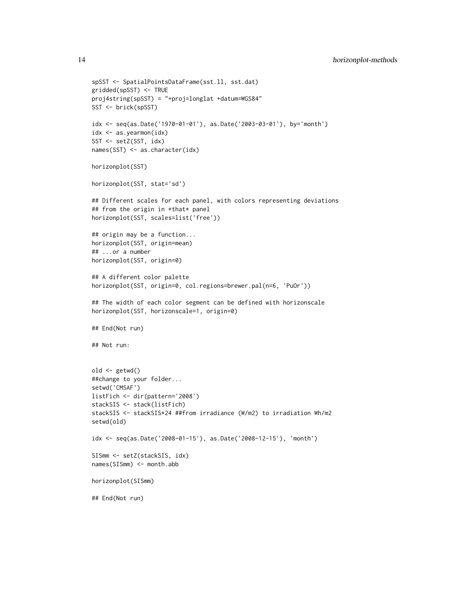```
spSST <- SpatialPointsDataFrame(sst.ll, sst.dat)
gridded(spSST) <- TRUE
proj4string(spSST) = "+proj=longlat +datum=WGS84"
SST <- brick(spSST)
idx <- seq(as.Date('1970-01-01'), as.Date('2003-03-01'), by='month')
idx <- as.yearmon(idx)
SST <- setZ(SST, idx)
names(SST) <- as.character(idx)
horizonplot(SST)
horizonplot(SST, stat='sd')
## Different scales for each panel, with colors representing deviations
## from the origin in *that* panel
horizonplot(SST, scales=list('free'))
## origin may be a function...
horizonplot(SST, origin=mean)
## ...or a number
horizonplot(SST, origin=0)
## A different color palette
horizonplot(SST, origin=0, col.regions=brewer.pal(n=6, 'PuOr'))
## The width of each color segment can be defined with horizonscale
horizonplot(SST, horizonscale=1, origin=0)
## End(Not run)
## Not run:
old <- getwd()
##change to your folder...
setwd('CMSAF')
listFich <- dir(pattern='2008')
stackSIS <- stack(listFich)
stackSIS <- stackSIS*24 ##from irradiance (W/m2) to irradiation Wh/m2
setwd(old)
idx <- seq(as.Date('2008-01-15'), as.Date('2008-12-15'), 'month')
SISmm <- setZ(stackSIS, idx)
names(SISmm) <- month.abb
horizonplot(SISmm)
## End(Not run)
```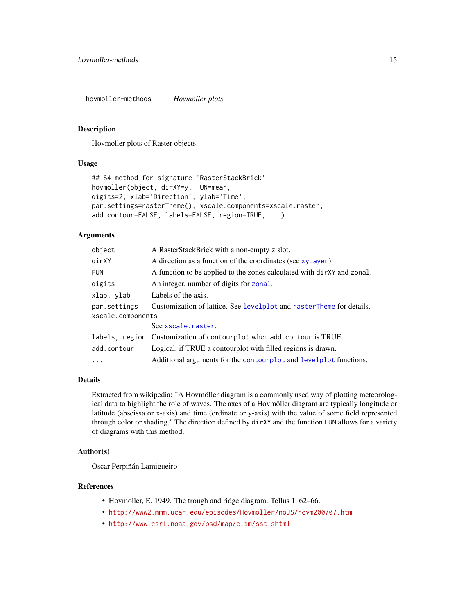<span id="page-14-0"></span>hovmoller-methods *Hovmoller plots*

#### Description

Hovmoller plots of Raster objects.

### Usage

```
## S4 method for signature 'RasterStackBrick'
hovmoller(object, dirXY=y, FUN=mean,
digits=2, xlab='Direction', ylab='Time',
par.settings=rasterTheme(), xscale.components=xscale.raster,
add.contour=FALSE, labels=FALSE, region=TRUE, ...)
```
#### Arguments

| object            | A RasterStackBrick with a non-empty z slot.                            |
|-------------------|------------------------------------------------------------------------|
| dirXY             | A direction as a function of the coordinates (see xyLayer).            |
| <b>FUN</b>        | A function to be applied to the zones calculated with dirXY and zonal. |
| digits            | An integer, number of digits for zonal.                                |
| xlab, ylab        | Labels of the axis.                                                    |
| par.settings      | Customization of lattice. See levelplot and rasterTheme for details.   |
| xscale.components |                                                                        |
|                   | See xscale.raster.                                                     |
|                   | labels, region Customization of contourplot when add. contour is TRUE. |
| add.contour       | Logical, if TRUE a contourplot with filled regions is drawn.           |
| $\ddots$          | Additional arguments for the contourplot and levelplot functions.      |

# Details

Extracted from wikipedia: "A Hovmöller diagram is a commonly used way of plotting meteorological data to highlight the role of waves. The axes of a Hovmöller diagram are typically longitude or latitude (abscissa or x-axis) and time (ordinate or y-axis) with the value of some field represented through color or shading." The direction defined by dirXY and the function FUN allows for a variety of diagrams with this method.

# Author(s)

Oscar Perpiñán Lamigueiro

#### References

- Hovmoller, E. 1949. The trough and ridge diagram. Tellus 1, 62–66.
- <http://www2.mmm.ucar.edu/episodes/Hovmoller/noJS/hovm200707.htm>
- <http://www.esrl.noaa.gov/psd/map/clim/sst.shtml>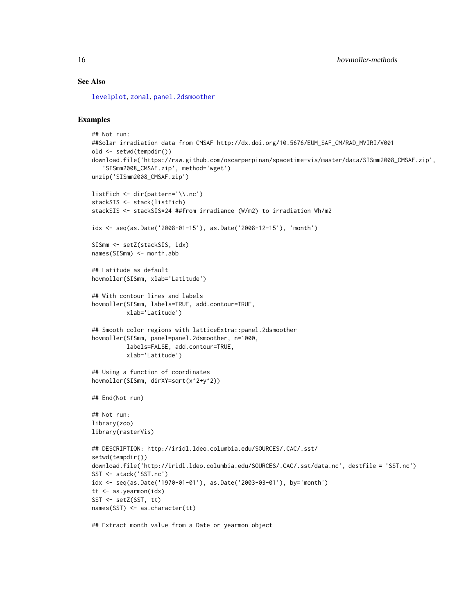# <span id="page-15-0"></span>See Also

[levelplot](#page-18-1), [zonal](#page-0-0), [panel.2dsmoother](#page-0-0)

# Examples

```
## Not run:
##Solar irradiation data from CMSAF http://dx.doi.org/10.5676/EUM_SAF_CM/RAD_MVIRI/V001
old <- setwd(tempdir())
download.file('https://raw.github.com/oscarperpinan/spacetime-vis/master/data/SISmm2008_CMSAF.zip',
   'SISmm2008_CMSAF.zip', method='wget')
unzip('SISmm2008_CMSAF.zip')
listFich <- dir(pattern='\\.nc')
stackSIS <- stack(listFich)
stackSIS <- stackSIS*24 ##from irradiance (W/m2) to irradiation Wh/m2
idx <- seq(as.Date('2008-01-15'), as.Date('2008-12-15'), 'month')
SISmm <- setZ(stackSIS, idx)
names(SISmm) <- month.abb
## Latitude as default
hovmoller(SISmm, xlab='Latitude')
## With contour lines and labels
hovmoller(SISmm, labels=TRUE, add.contour=TRUE,
          xlab='Latitude')
## Smooth color regions with latticeExtra::panel.2dsmoother
hovmoller(SISmm, panel=panel.2dsmoother, n=1000,
          labels=FALSE, add.contour=TRUE,
          xlab='Latitude')
## Using a function of coordinates
hovmoller(SISmm, dirXY=sqrt(x^2+y^2))
## End(Not run)
## Not run:
library(zoo)
library(rasterVis)
## DESCRIPTION: http://iridl.ldeo.columbia.edu/SOURCES/.CAC/.sst/
setwd(tempdir())
download.file('http://iridl.ldeo.columbia.edu/SOURCES/.CAC/.sst/data.nc', destfile = 'SST.nc')
SST <- stack('SST.nc')
idx <- seq(as.Date('1970-01-01'), as.Date('2003-03-01'), by='month')
tt <- as.yearmon(idx)
SST <- setZ(SST, tt)
names(SST) <- as.character(tt)
```
## Extract month value from a Date or yearmon object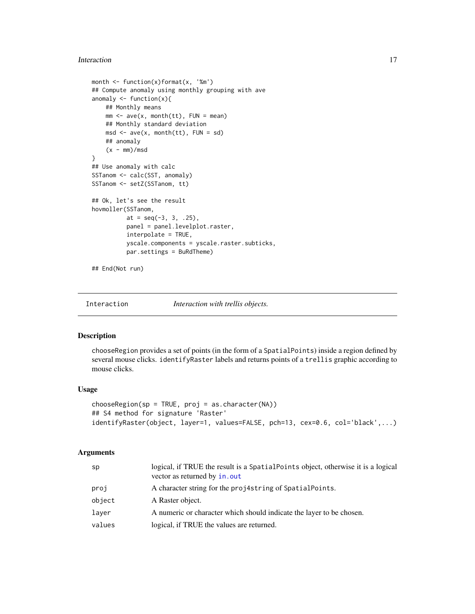#### <span id="page-16-0"></span>Interaction 17

```
month <- function(x)format(x, '%m')
## Compute anomaly using monthly grouping with ave
anomaly <- function(x){
   ## Monthly means
   mm < -</math> ave(x, month(tt), FUN = mean)## Monthly standard deviation
   msd \leq -ave(x, month(tt), FUN = sd)## anomaly
    (x - mm)/msd}
## Use anomaly with calc
SSTanom <- calc(SST, anomaly)
SSTanom <- setZ(SSTanom, tt)
## Ok, let's see the result
hovmoller(SSTanom,
         at = seq(-3, 3, .25),
         panel = panel.levelplot.raster,
         interpolate = TRUE,
         yscale.components = yscale.raster.subticks,
          par.settings = BuRdTheme)
```
## End(Not run)

Interaction *Interaction with trellis objects.*

#### Description

chooseRegion provides a set of points (in the form of a SpatialPoints) inside a region defined by several mouse clicks. identifyRaster labels and returns points of a trellis graphic according to mouse clicks.

#### Usage

```
chooseRegion(sp = TRUE, proj = as.character(NA))
## S4 method for signature 'Raster'
identifyRaster(object, layer=1, values=FALSE, pch=13, cex=0.6, col='black',...)
```

| sp     | logical, if TRUE the result is a SpatialPoints object, otherwise it is a logical<br>vector as returned by in.out |
|--------|------------------------------------------------------------------------------------------------------------------|
| proj   | A character string for the projastring of SpatialPoints.                                                         |
| object | A Raster object.                                                                                                 |
| laver  | A numeric or character which should indicate the layer to be chosen.                                             |
| values | logical, if TRUE the values are returned.                                                                        |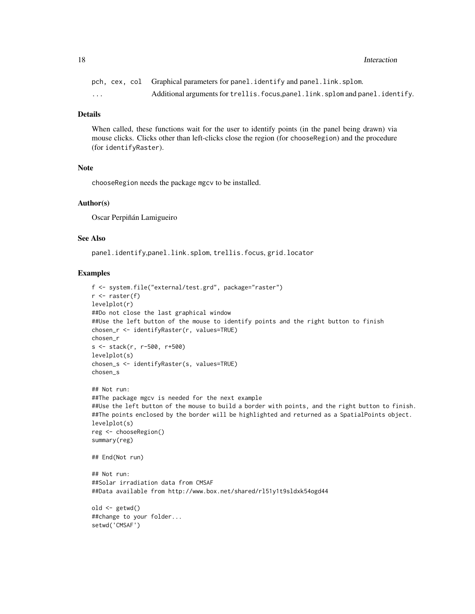18 Interaction and the set of the set of the set of the set of the set of the set of the set of the set of the set of the set of the set of the set of the set of the set of the set of the set of the set of the set of the s

|                         |  | pch, cex, col Graphical parameters for panel.identify and panel.link.splom.      |
|-------------------------|--|----------------------------------------------------------------------------------|
| $\cdot$ $\cdot$ $\cdot$ |  | Additional arguments for trellis. focus, panel. link. splom and panel. identify. |

# Details

When called, these functions wait for the user to identify points (in the panel being drawn) via mouse clicks. Clicks other than left-clicks close the region (for chooseRegion) and the procedure (for identifyRaster).

#### **Note**

chooseRegion needs the package mgcv to be installed.

# Author(s)

Oscar Perpiñán Lamigueiro

# See Also

panel.identify,panel.link.splom, trellis.focus, grid.locator

```
f <- system.file("external/test.grd", package="raster")
r \leftarrow raster(f)
levelplot(r)
##Do not close the last graphical window
##Use the left button of the mouse to identify points and the right button to finish
chosen_r <- identifyRaster(r, values=TRUE)
chosen_r
s <- stack(r, r-500, r+500)
levelplot(s)
chosen_s <- identifyRaster(s, values=TRUE)
chosen_s
## Not run:
##The package mgcv is needed for the next example
##Use the left button of the mouse to build a border with points, and the right button to finish.
##The points enclosed by the border will be highlighted and returned as a SpatialPoints object.
levelplot(s)
reg <- chooseRegion()
summary(reg)
## End(Not run)
## Not run:
##Solar irradiation data from CMSAF
##Data available from http://www.box.net/shared/rl51y1t9sldxk54ogd44
old <- getwd()
##change to your folder...
setwd('CMSAF')
```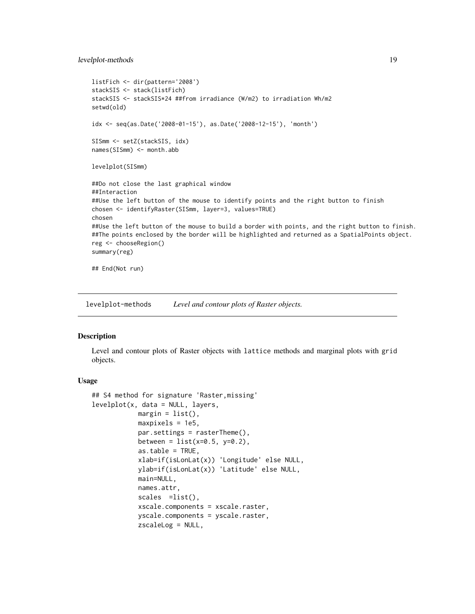# <span id="page-18-0"></span>levelplot-methods 19

```
listFich <- dir(pattern='2008')
stackSIS <- stack(listFich)
stackSIS <- stackSIS*24 ##from irradiance (W/m2) to irradiation Wh/m2
setwd(old)
idx <- seq(as.Date('2008-01-15'), as.Date('2008-12-15'), 'month')
SISmm <- setZ(stackSIS, idx)
names(SISmm) <- month.abb
levelplot(SISmm)
##Do not close the last graphical window
##Interaction
##Use the left button of the mouse to identify points and the right button to finish
chosen <- identifyRaster(SISmm, layer=3, values=TRUE)
chosen
##Use the left button of the mouse to build a border with points, and the right button to finish.
##The points enclosed by the border will be highlighted and returned as a SpatialPoints object.
reg <- chooseRegion()
summary(reg)
## End(Not run)
```
levelplot-methods *Level and contour plots of Raster objects.*

# <span id="page-18-1"></span>Description

Level and contour plots of Raster objects with lattice methods and marginal plots with grid objects.

#### Usage

```
## S4 method for signature 'Raster,missing'
levelplot(x, data = NULL, layers,margin = list(),maxpixels = 1e5,
            par.settings = rasterTheme(),
            between = list(x=0.5, y=0.2),
            as.table = TRUE,xlab=if(isLonLat(x)) 'Longitude' else NULL,
            ylab=if(isLonLat(x)) 'Latitude' else NULL,
            main=NULL,
            names.attr,
            scales =list(),
            xscale.components = xscale.raster,
            yscale.components = yscale.raster,
            zscaleLog = NULL,
```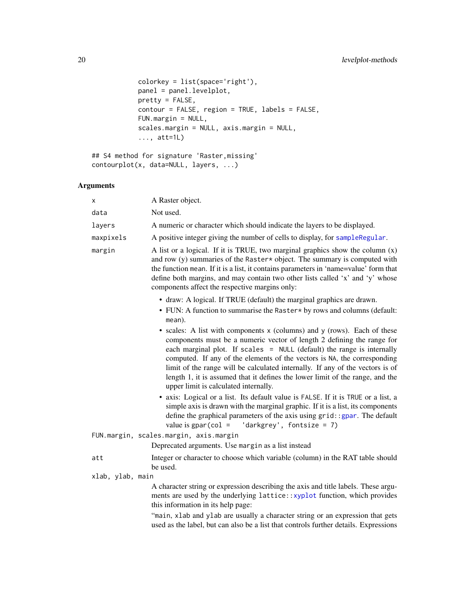```
colorkey = list(space='right'),
panel = panel.levelplot,
pretty = FALSE,
contour = FALSE, region = TRUE, labels = FALSE,
FUN.margin = NULL,
scales.margin = NULL, axis.margin = NULL,
..., att=1L)
```

```
## S4 method for signature 'Raster,missing'
contourplot(x, data=NULL, layers, ...)
```

| x                | A Raster object.                                                                                                                                                                                                                                                                                                                                                                                                                                                                                                    |
|------------------|---------------------------------------------------------------------------------------------------------------------------------------------------------------------------------------------------------------------------------------------------------------------------------------------------------------------------------------------------------------------------------------------------------------------------------------------------------------------------------------------------------------------|
| data             | Not used.                                                                                                                                                                                                                                                                                                                                                                                                                                                                                                           |
| layers           | A numeric or character which should indicate the layers to be displayed.                                                                                                                                                                                                                                                                                                                                                                                                                                            |
| maxpixels        | A positive integer giving the number of cells to display, for sampleRegular.                                                                                                                                                                                                                                                                                                                                                                                                                                        |
| margin           | A list or a logical. If it is TRUE, two marginal graphics show the column $(x)$<br>and row (y) summaries of the Raster $*$ object. The summary is computed with<br>the function mean. If it is a list, it contains parameters in 'name=value' form that<br>define both margins, and may contain two other lists called 'x' and 'y' whose<br>components affect the respective margins only:                                                                                                                          |
|                  | • draw: A logical. If TRUE (default) the marginal graphics are drawn.<br>• FUN: A function to summarise the Raster* by rows and columns (default:<br>mean).                                                                                                                                                                                                                                                                                                                                                         |
|                  | • scales: A list with components x (columns) and y (rows). Each of these<br>components must be a numeric vector of length 2 defining the range for<br>each marginal plot. If scales = NULL (default) the range is internally<br>computed. If any of the elements of the vectors is NA, the corresponding<br>limit of the range will be calculated internally. If any of the vectors is of<br>length 1, it is assumed that it defines the lower limit of the range, and the<br>upper limit is calculated internally. |
|                  | • axis: Logical or a list. Its default value is FALSE. If it is TRUE or a list, a<br>simple axis is drawn with the marginal graphic. If it is a list, its components<br>define the graphical parameters of the axis using grid: : gpar. The default<br>value is $gpar(col = 'darkgrey', fontsize = 7)$                                                                                                                                                                                                              |
|                  | FUN.margin, scales.margin, axis.margin                                                                                                                                                                                                                                                                                                                                                                                                                                                                              |
|                  | Deprecated arguments. Use margin as a list instead                                                                                                                                                                                                                                                                                                                                                                                                                                                                  |
| att              | Integer or character to choose which variable (column) in the RAT table should<br>be used.                                                                                                                                                                                                                                                                                                                                                                                                                          |
| xlab, ylab, main |                                                                                                                                                                                                                                                                                                                                                                                                                                                                                                                     |
|                  | A character string or expression describing the axis and title labels. These argu-<br>ments are used by the underlying lattice::xyplot function, which provides<br>this information in its help page:                                                                                                                                                                                                                                                                                                               |
|                  | "main, xlab and ylab are usually a character string or an expression that gets<br>used as the label, but can also be a list that controls further details. Expressions                                                                                                                                                                                                                                                                                                                                              |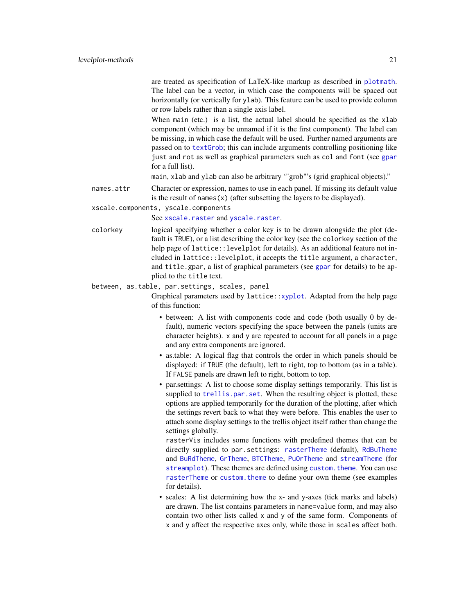<span id="page-20-0"></span>are treated as specification of LaTeX-like markup as described in [plotmath](#page-0-0). The label can be a vector, in which case the components will be spaced out horizontally (or vertically for ylab). This feature can be used to provide column or row labels rather than a single axis label.

When main (etc.) is a list, the actual label should be specified as the xlab component (which may be unnamed if it is the first component). The label can be missing, in which case the default will be used. Further named arguments are passed on to [textGrob](#page-0-0); this can include arguments controlling positioning like just and rot as well as graphical parameters such as col and font (see [gpar](#page-0-0) for a full list).

main, xlab and ylab can also be arbitrary '"grob"'s (grid graphical objects)."

names.attr Character or expression, names to use in each panel. If missing its default value is the result of names $(x)$  (after subsetting the layers to be displayed).

xscale.components, yscale.components

See [xscale.raster](#page-27-1) and [yscale.raster](#page-27-1).

colorkey logical specifying whether a color key is to be drawn alongside the plot (default is TRUE), or a list describing the color key (see the colorkey section of the help page of lattice:: levelplot for details). As an additional feature not included in lattice::levelplot, it accepts the title argument, a character, and title.[gpar](#page-0-0), a list of graphical parameters (see gpar for details) to be applied to the title text.

#### between, as.table, par.settings, scales, panel

Graphical parameters used by lattice:[:xyplot](#page-36-1). Adapted from the help page of this function:

- between: A list with components code and code (both usually 0 by default), numeric vectors specifying the space between the panels (units are character heights). x and y are repeated to account for all panels in a page and any extra components are ignored.
- as.table: A logical flag that controls the order in which panels should be displayed: if TRUE (the default), left to right, top to bottom (as in a table). If FALSE panels are drawn left to right, bottom to top.
- par.settings: A list to choose some display settings temporarily. This list is supplied to [trellis.par.set](#page-0-0). When the resulting object is plotted, these options are applied temporarily for the duration of the plotting, after which the settings revert back to what they were before. This enables the user to attach some display settings to the trellis object itself rather than change the settings globally.

rasterVis includes some functions with predefined themes that can be directly supplied to par. settings: [rasterTheme](#page-27-2) (default), [RdBuTheme](#page-27-1) and [BuRdTheme](#page-27-1), [GrTheme](#page-27-1), [BTCTheme](#page-27-1), [PuOrTheme](#page-27-1) and [streamTheme](#page-27-1) (for [streamplot](#page-30-1)). These themes are defined using custom, theme. You can use [rasterTheme](#page-27-2) or [custom.theme](#page-0-0) to define your own theme (see examples for details).

• scales: A list determining how the x- and y-axes (tick marks and labels) are drawn. The list contains parameters in name=value form, and may also contain two other lists called x and y of the same form. Components of x and y affect the respective axes only, while those in scales affect both.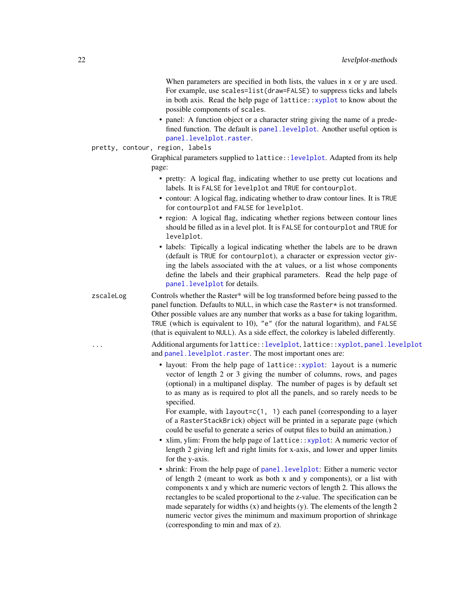<span id="page-21-0"></span>When parameters are specified in both lists, the values in x or y are used. For example, use scales=list(draw=FALSE) to suppress ticks and labels in both axis. Read the help page of lattice:: $xyplot$  to know about the possible components of scales.

• panel: A function object or a character string giving the name of a predefined function. The default is [panel.levelplot](#page-0-0). Another useful option is [panel.levelplot.raster](#page-0-0).

# pretty, contour, region, labels

Graphical parameters supplied to lattice:[:levelplot](#page-18-1). Adapted from its help page:

- pretty: A logical flag, indicating whether to use pretty cut locations and labels. It is FALSE for levelplot and TRUE for contourplot.
- contour: A logical flag, indicating whether to draw contour lines. It is TRUE for contourplot and FALSE for levelplot.
- region: A logical flag, indicating whether regions between contour lines should be filled as in a level plot. It is FALSE for contourplot and TRUE for levelplot.
- labels: Tipically a logical indicating whether the labels are to be drawn (default is TRUE for contourplot), a character or expression vector giving the labels associated with the at values, or a list whose components define the labels and their graphical parameters. Read the help page of [panel.levelplot](#page-0-0) for details.

zscaleLog Controls whether the Raster\* will be log transformed before being passed to the panel function. Defaults to NULL, in which case the Raster\* is not transformed. Other possible values are any number that works as a base for taking logarithm, TRUE (which is equivalent to 10), "e" (for the natural logarithm), and FALSE (that is equivalent to NULL). As a side effect, the colorkey is labeled differently.

... Additional arguments for lattice:[:levelplot](#page-18-1), lattice:[:xyplot](#page-36-1), [panel.levelplot](#page-0-0) and [panel.levelplot.raster](#page-0-0). The most important ones are:

> • layout: From the help page of lattice:[:xyplot](#page-36-1): layout is a numeric vector of length 2 or 3 giving the number of columns, rows, and pages (optional) in a multipanel display. The number of pages is by default set to as many as is required to plot all the panels, and so rarely needs to be specified.

For example, with layout= $c(1, 1)$  each panel (corresponding to a layer of a RasterStackBrick) object will be printed in a separate page (which could be useful to generate a series of output files to build an animation.)

- xlim, ylim: From the help page of lattice:: xyplot: A numeric vector of length 2 giving left and right limits for x-axis, and lower and upper limits for the y-axis.
- shrink: From the help page of [panel.levelplot](#page-0-0): Either a numeric vector of length 2 (meant to work as both x and y components), or a list with components x and y which are numeric vectors of length 2. This allows the rectangles to be scaled proportional to the z-value. The specification can be made separately for widths  $(x)$  and heights  $(y)$ . The elements of the length 2 numeric vector gives the minimum and maximum proportion of shrinkage (corresponding to min and max of z).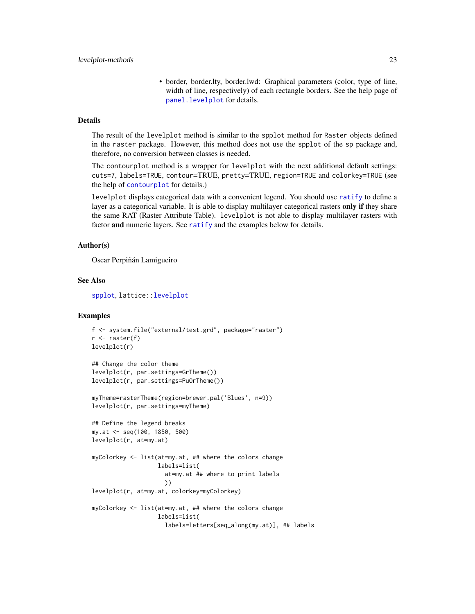• border, border.lty, border.lwd: Graphical parameters (color, type of line, width of line, respectively) of each rectangle borders. See the help page of [panel.levelplot](#page-0-0) for details.

#### <span id="page-22-0"></span>Details

The result of the levelplot method is similar to the spplot method for Raster objects defined in the raster package. However, this method does not use the spplot of the sp package and, therefore, no conversion between classes is needed.

The contourplot method is a wrapper for levelplot with the next additional default settings: cuts=7, labels=TRUE, contour=TRUE, pretty=TRUE, region=TRUE and colorkey=TRUE (see the help of [contourplot](#page-18-1) for details.)

levelplot displays categorical data with a convenient legend. You should use [ratify](#page-0-0) to define a layer as a categorical variable. It is able to display multilayer categorical rasters only if they share the same RAT (Raster Attribute Table). levelplot is not able to display multilayer rasters with factor and numeric layers. See [ratify](#page-0-0) and the examples below for details.

#### Author(s)

Oscar Perpiñán Lamigueiro

# See Also

[spplot](#page-0-0), lattice:[:levelplot](#page-18-1)

```
f <- system.file("external/test.grd", package="raster")
r \leftarrow raster(f)
levelplot(r)
## Change the color theme
levelplot(r, par.settings=GrTheme())
levelplot(r, par.settings=PuOrTheme())
myTheme=rasterTheme(region=brewer.pal('Blues', n=9))
levelplot(r, par.settings=myTheme)
## Define the legend breaks
my.at <- seq(100, 1850, 500)
levelplot(r, at=my.at)
myColorkey <- list(at=my.at, ## where the colors change
                   labels=list(
                     at=my.at ## where to print labels
                     ))
levelplot(r, at=my.at, colorkey=myColorkey)
myColorkey <- list(at=my.at, ## where the colors change
                   labels=list(
                     labels=letters[seq_along(my.at)], ## labels
```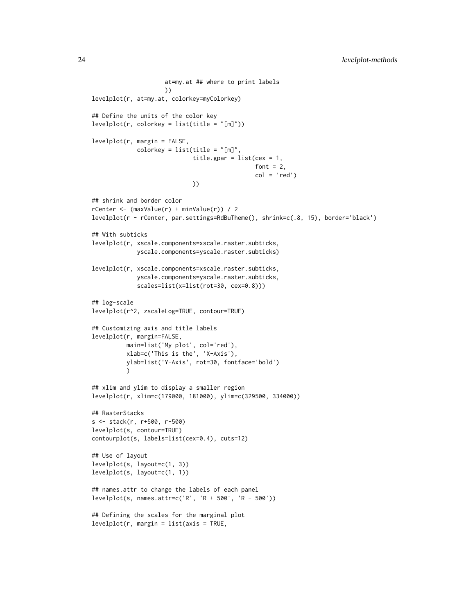```
at=my.at ## where to print labels
                     ))
levelplot(r, at=my.at, colorkey=myColorkey)
## Define the units of the color key
levelplot(r, colorkey = list(title = "[m]"))
levelplot(r, margin = FALSE,
             colorkey = list(title = "[m]",title.gpar = list(cex = 1,font = 2,
                                               col = 'red')))
## shrink and border color
rCenter <- (maxValue(r) + minValue(r)) / 2
levelplot(r - rCenter, par.settings=RdBuTheme(), shrink=c(.8, 15), border='black')
## With subticks
levelplot(r, xscale.components=xscale.raster.subticks,
             yscale.components=yscale.raster.subticks)
levelplot(r, xscale.components=xscale.raster.subticks,
             yscale.components=yscale.raster.subticks,
             scales=list(x=list(rot=30, cex=0.8)))
## log-scale
levelplot(r^2, zscaleLog=TRUE, contour=TRUE)
## Customizing axis and title labels
levelplot(r, margin=FALSE,
          main=list('My plot', col='red'),
          xlab=c('This is the', 'X-Axis'),
          ylab=list('Y-Axis', rot=30, fontface='bold')
          )
## xlim and ylim to display a smaller region
levelplot(r, xlim=c(179000, 181000), ylim=c(329500, 334000))
## RasterStacks
s <- stack(r, r+500, r-500)
levelplot(s, contour=TRUE)
contourplot(s, labels=list(cex=0.4), cuts=12)
## Use of layout
levelplot(s, layout=c(1, 3))
levelplot(s, layout=c(1, 1))
## names.attr to change the labels of each panel
levelplot(s, names.attr=c('R', 'R + 500', 'R - 500'))
## Defining the scales for the marginal plot
levelplot(r, margin = list(axis = TRUE,
```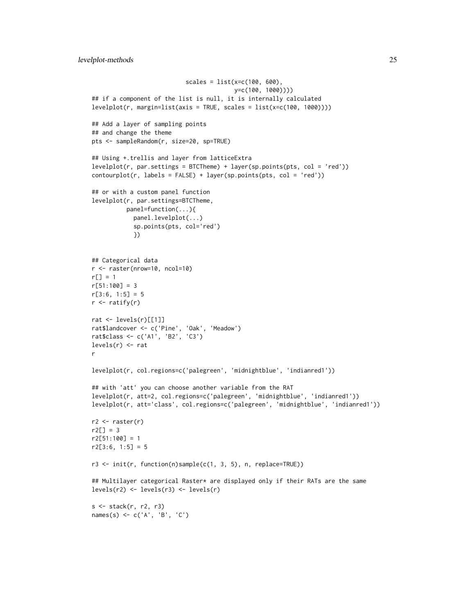```
scales = list(x=c(100, 600),y=c(100, 1000))))
## if a component of the list is null, it is internally calculated
levelplot(r, margin=list(axis = TRUE, scales = list(x=c(100, 1000))))## Add a layer of sampling points
## and change the theme
pts <- sampleRandom(r, size=20, sp=TRUE)
## Using +.trellis and layer from latticeExtra
levelplot(r, par.settings = BTCTheme) + layer(sp.points(pts, col = 'red'))
contourplot(r, labels = FALSE) + layer(sp.points(pts, col = 'red'))
## or with a custom panel function
levelplot(r, par.settings=BTCTheme,
          panel=function(...){
            panel.levelplot(...)
            sp.points(pts, col='red')
            })
## Categorical data
r <- raster(nrow=10, ncol=10)
r[] = 1r[51:100] = 3r[3:6, 1:5] = 5r \leftarrow ratify(r)
rat <- levels(r)[[1]]
rat$landcover <- c('Pine', 'Oak', 'Meadow')
rat$class <- c('A1', 'B2', 'C3')
levels(r) \leftarrow ratr
levelplot(r, col.regions=c('palegreen', 'midnightblue', 'indianred1'))
## with 'att' you can choose another variable from the RAT
levelplot(r, att=2, col.regions=c('palegreen', 'midnightblue', 'indianred1'))
levelplot(r, att='class', col.regions=c('palegreen', 'midnightblue', 'indianred1'))
r2 \leftarrow \text{raster}(r)r2[] = 3r2[51:100] = 1r2[3:6, 1:5] = 5r3 <- init(r, function(n)sample(c(1, 3, 5), n, replace=TRUE))
## Multilayer categorical Raster* are displayed only if their RATs are the same
levels(r2) <- levels(r3) <- levels(r)
s \leftarrow \text{stack}(r, r2, r3)names(s) <- c('A', 'B', 'C')
```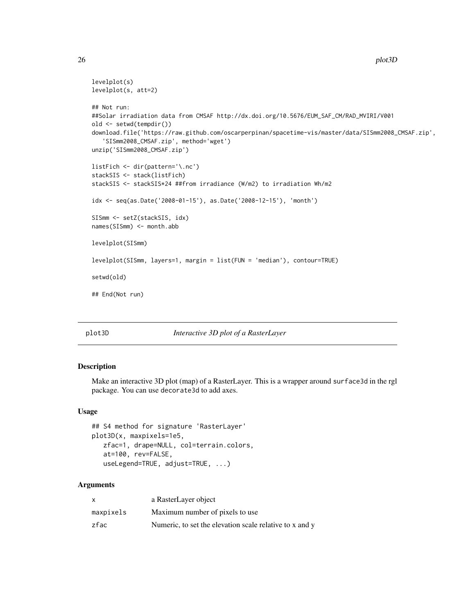26 plot3D

```
levelplot(s)
levelplot(s, att=2)
## Not run:
##Solar irradiation data from CMSAF http://dx.doi.org/10.5676/EUM_SAF_CM/RAD_MVIRI/V001
old <- setwd(tempdir())
download.file('https://raw.github.com/oscarperpinan/spacetime-vis/master/data/SISmm2008_CMSAF.zip',
   'SISmm2008_CMSAF.zip', method='wget')
unzip('SISmm2008_CMSAF.zip')
listFich <- dir(pattern='\.nc')
stackSIS <- stack(listFich)
stackSIS <- stackSIS*24 ##from irradiance (W/m2) to irradiation Wh/m2
idx <- seq(as.Date('2008-01-15'), as.Date('2008-12-15'), 'month')
SISmm <- setZ(stackSIS, idx)
names(SISmm) <- month.abb
levelplot(SISmm)
levelplot(SISmm, layers=1, margin = list(FUN = 'median'), contour=TRUE)
setwd(old)
## End(Not run)
```
plot3D *Interactive 3D plot of a RasterLayer*

# Description

Make an interactive 3D plot (map) of a RasterLayer. This is a wrapper around surface3d in the rgl package. You can use decorate3d to add axes.

#### Usage

```
## S4 method for signature 'RasterLayer'
plot3D(x, maxpixels=1e5,
  zfac=1, drape=NULL, col=terrain.colors,
   at=100, rev=FALSE,
  useLegend=TRUE, adjust=TRUE, ...)
```

| X         | a RasterLayer object                                    |
|-----------|---------------------------------------------------------|
| maxpixels | Maximum number of pixels to use                         |
| zfac      | Numeric, to set the elevation scale relative to x and y |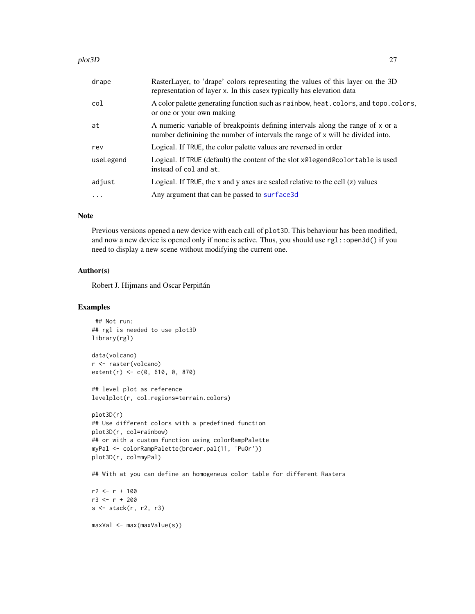#### <span id="page-26-0"></span>plot3D 27

| drape     | RasterLayer, to 'drape' colors representing the values of this layer on the 3D<br>representation of layer x. In this casex typically has elevation data          |
|-----------|------------------------------------------------------------------------------------------------------------------------------------------------------------------|
| col       | A color palette generating function such as rainbow, heat. colors, and topo. colors,<br>or one or your own making                                                |
| at        | A numeric variable of breakpoints defining intervals along the range of x or a<br>number definining the number of intervals the range of x will be divided into. |
| rev       | Logical. If TRUE, the color palette values are reversed in order                                                                                                 |
| useLegend | Logical. If TRUE (default) the content of the slot x@legend@colortable is used<br>instead of col and at.                                                         |
| adjust    | Logical. If TRUE, the x and y axes are scaled relative to the cell $(z)$ values                                                                                  |
| $\ddots$  | Any argument that can be passed to surface 3d                                                                                                                    |
|           |                                                                                                                                                                  |

#### Note

Previous versions opened a new device with each call of plot3D. This behaviour has been modified, and now a new device is opened only if none is active. Thus, you should use rgl::open3d() if you need to display a new scene without modifying the current one.

# Author(s)

Robert J. Hijmans and Oscar Perpiñán

# Examples

```
## Not run:
## rgl is needed to use plot3D
library(rgl)
```
data(volcano) r <- raster(volcano) extent(r) <- c(0, 610, 0, 870)

## level plot as reference levelplot(r, col.regions=terrain.colors)

```
plot3D(r)
## Use different colors with a predefined function
plot3D(r, col=rainbow)
## or with a custom function using colorRampPalette
myPal <- colorRampPalette(brewer.pal(11, 'PuOr'))
plot3D(r, col=myPal)
```
## With at you can define an homogeneus color table for different Rasters

```
r2 < -r + 100r3 < -r + 200s <- stack(r, r2, r3)
```
maxVal <- max(maxValue(s))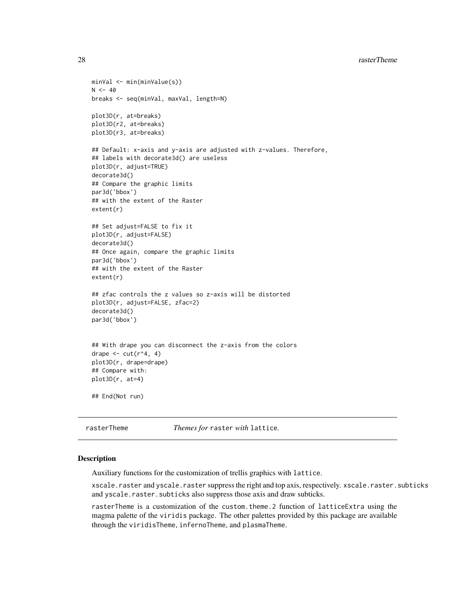```
minVal <- min(minValue(s))
N < -40breaks <- seq(minVal, maxVal, length=N)
plot3D(r, at=breaks)
plot3D(r2, at=breaks)
plot3D(r3, at=breaks)
## Default: x-axis and y-axis are adjusted with z-values. Therefore,
## labels with decorate3d() are useless
plot3D(r, adjust=TRUE)
decorate3d()
## Compare the graphic limits
par3d('bbox')
## with the extent of the Raster
extent(r)
## Set adjust=FALSE to fix it
plot3D(r, adjust=FALSE)
decorate3d()
## Once again, compare the graphic limits
par3d('bbox')
## with the extent of the Raster
extent(r)
## zfac controls the z values so z-axis will be distorted
plot3D(r, adjust=FALSE, zfac=2)
decorate3d()
par3d('bbox')
## With drape you can disconnect the z-axis from the colors
drape \leq cut(r^4, 4)
plot3D(r, drape=drape)
## Compare with:
plot3D(r, at=4)
## End(Not run)
```
<span id="page-27-2"></span>rasterTheme *Themes for* raster *with* lattice*.*

#### <span id="page-27-1"></span>Description

Auxiliary functions for the customization of trellis graphics with lattice.

xscale.raster and yscale.raster suppress the right and top axis, respectively. xscale.raster.subticks and yscale.raster.subticks also suppress those axis and draw subticks.

rasterTheme is a customization of the custom.theme.2 function of latticeExtra using the magma palette of the viridis package. The other palettes provided by this package are available through the viridisTheme, infernoTheme, and plasmaTheme.

<span id="page-27-0"></span>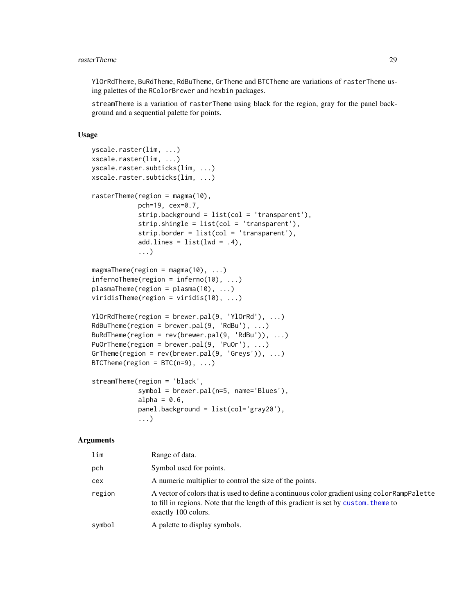#### <span id="page-28-0"></span>**rasterTheme** 29

YlOrRdTheme, BuRdTheme, RdBuTheme, GrTheme and BTCTheme are variations of rasterTheme using palettes of the RColorBrewer and hexbin packages.

streamTheme is a variation of rasterTheme using black for the region, gray for the panel background and a sequential palette for points.

#### Usage

```
yscale.raster(lim, ...)
xscale.raster(lim, ...)
yscale.raster.subticks(lim, ...)
xscale.raster.subticks(lim, ...)
rasterTheme(region = magma(10),
            pch=19, cex=0.7,
            strip.background = list(col = 'transparent'),
            strip.shingle = list(col = 'transparent'),
            strip.border = list(col = 'transparent'),
            add.\nlines = list(lwd = .4),...)
magmaTheme(region = magma(10), ...)
infernoTheme(region = inferno(10), ...)
plasmaTheme(region = plasma(10), ...)
viridisTheme(region = viridis(10), ...)
YlOrRdTheme(region = brewer.pal(9, 'YlOrRd'), ...)
RdBuTheme(region = brewer.pal(9, 'RdBu'), ...)
BuRdTheme(region = rev(brewer.pal(9, 'RdBu')), ...)
PuOrTheme(region = brewer.pal(9, 'PuOr'), ...)
GrTheme(region = rev(brewer.pal(9, 'Greys')), \dots)
BTCTheme(region = BTC(n=9), ...)
streamTheme(region = 'black',
            symbol = brewer.pal(n=5, name='Blues'),
            alpha = 0.6,
            panel.background = list(col='gray20'),
            ...)
```

| lim    | Range of data.                                                                                                                                                                                               |
|--------|--------------------------------------------------------------------------------------------------------------------------------------------------------------------------------------------------------------|
| pch    | Symbol used for points.                                                                                                                                                                                      |
| cex    | A numeric multiplier to control the size of the points.                                                                                                                                                      |
| region | A vector of colors that is used to define a continuous color gradient using color RampPalette<br>to fill in regions. Note that the length of this gradient is set by custom, theme to<br>exactly 100 colors. |
| symbol | A palette to display symbols.                                                                                                                                                                                |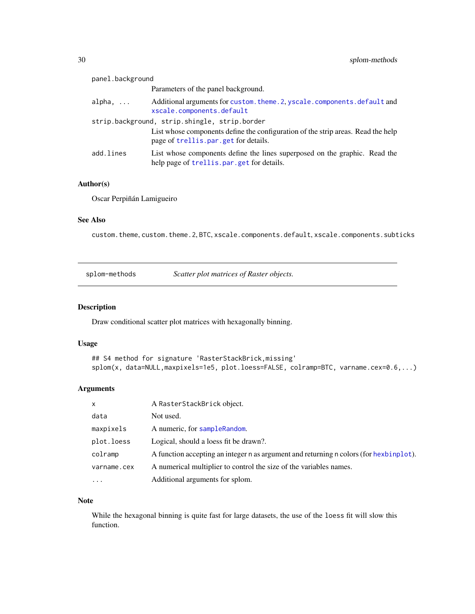<span id="page-29-0"></span>

| panel.background                              |                                                                                                                          |  |
|-----------------------------------------------|--------------------------------------------------------------------------------------------------------------------------|--|
|                                               | Parameters of the panel background.                                                                                      |  |
| alpha, $\dots$                                | Additional arguments for custom. theme. 2, yscale. components. default and<br>xscale.components.default                  |  |
| strip.background, strip.shingle, strip.border |                                                                                                                          |  |
|                                               | List whose components define the configuration of the strip areas. Read the help<br>page of trellis.par.get for details. |  |
| add.lines                                     | List whose components define the lines superposed on the graphic. Read the<br>help page of trellis.par.get for details.  |  |

# Author(s)

Oscar Perpiñán Lamigueiro

# See Also

custom.theme, custom.theme.2, BTC, xscale.components.default, xscale.components.subticks

| splom-methods | Scatter plot matrices of Raster objects. |
|---------------|------------------------------------------|
|               |                                          |

# <span id="page-29-1"></span>Description

Draw conditional scatter plot matrices with hexagonally binning.

# Usage

```
## S4 method for signature 'RasterStackBrick,missing'
splom(x, data=NULL,maxpixels=1e5, plot.loess=FALSE, colramp=BTC, varname.cex=0.6,...)
```
#### Arguments

| $\mathsf{x}$ | A RasterStackBrick object.                                                             |
|--------------|----------------------------------------------------------------------------------------|
| data         | Not used.                                                                              |
| maxpixels    | A numeric, for sample Random.                                                          |
| plot.loess   | Logical, should a loess fit be drawn?.                                                 |
| colramp      | A function accepting an integer n as argument and returning n colors (for hexbinplot). |
| varname.cex  | A numerical multiplier to control the size of the variables names.                     |
| $\ddotsc$    | Additional arguments for splom.                                                        |

#### Note

While the hexagonal binning is quite fast for large datasets, the use of the loess fit will slow this function.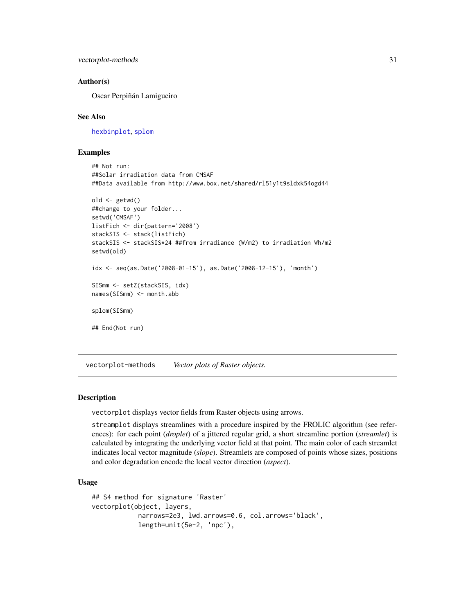<span id="page-30-0"></span>vectorplot-methods 31

#### Author(s)

Oscar Perpiñán Lamigueiro

#### See Also

[hexbinplot](#page-6-1), [splom](#page-29-1)

#### Examples

```
## Not run:
##Solar irradiation data from CMSAF
##Data available from http://www.box.net/shared/rl51y1t9sldxk54ogd44
old <- getwd()
##change to your folder...
setwd('CMSAF')
listFich <- dir(pattern='2008')
stackSIS <- stack(listFich)
stackSIS <- stackSIS*24 ##from irradiance (W/m2) to irradiation Wh/m2
setwd(old)
idx <- seq(as.Date('2008-01-15'), as.Date('2008-12-15'), 'month')
SISmm <- setZ(stackSIS, idx)
names(SISmm) <- month.abb
splom(SISmm)
## End(Not run)
```
vectorplot-methods *Vector plots of Raster objects.*

# <span id="page-30-1"></span>**Description**

vectorplot displays vector fields from Raster objects using arrows.

streamplot displays streamlines with a procedure inspired by the FROLIC algorithm (see references): for each point (*droplet*) of a jittered regular grid, a short streamline portion (*streamlet*) is calculated by integrating the underlying vector field at that point. The main color of each streamlet indicates local vector magnitude (*slope*). Streamlets are composed of points whose sizes, positions and color degradation encode the local vector direction (*aspect*).

#### Usage

```
## S4 method for signature 'Raster'
vectorplot(object, layers,
            narrows=2e3, lwd.arrows=0.6, col.arrows='black',
            length=unit(5e-2, 'npc'),
```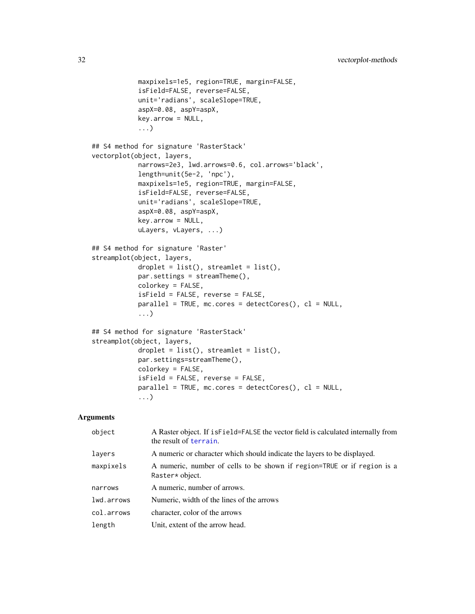```
maxpixels=1e5, region=TRUE, margin=FALSE,
            isField=FALSE, reverse=FALSE,
            unit='radians', scaleSlope=TRUE,
            aspX=0.08, aspY=aspX,
            key.arrow = NULL,
            ...)
## S4 method for signature 'RasterStack'
vectorplot(object, layers,
            narrows=2e3, lwd.arrows=0.6, col.arrows='black',
            length=unit(5e-2, 'npc'),
            maxpixels=1e5, region=TRUE, margin=FALSE,
            isField=FALSE, reverse=FALSE,
            unit='radians', scaleSlope=TRUE,
            aspX=0.08, aspY=aspX,
            key.arrow = NULL,
            uLayers, vLayers, ...)
## S4 method for signature 'Raster'
streamplot(object, layers,
            droplet = list(), streamlet = list(),par.settings = streamTheme(),
            colorkey = FALSE,
            isField = FALSE, reverse = FALSE,
            parallel = TRUE, mc.cores = detectCores(), cl = NULL,
            ...)
## S4 method for signature 'RasterStack'
streamplot(object, layers,
            droplet = list(), streamlet = list(),par.settings=streamTheme(),
            colorkey = FALSE,
            isField = FALSE, reverse = FALSE,
            parallel = TRUE, mc.cores = detectCores(), cl = NULL,...)
```

| object     | A Raster object. If is Field=FALSE the vector field is calculated internally from<br>the result of terrain. |
|------------|-------------------------------------------------------------------------------------------------------------|
| layers     | A numeric or character which should indicate the layers to be displayed.                                    |
| maxpixels  | A numeric, number of cells to be shown if region=TRUE or if region is a<br>Raster* object.                  |
| narrows    | A numeric, number of arrows.                                                                                |
| lwd.arrows | Numeric, width of the lines of the arrows                                                                   |
| col.arrows | character, color of the arrows                                                                              |
| length     | Unit, extent of the arrow head.                                                                             |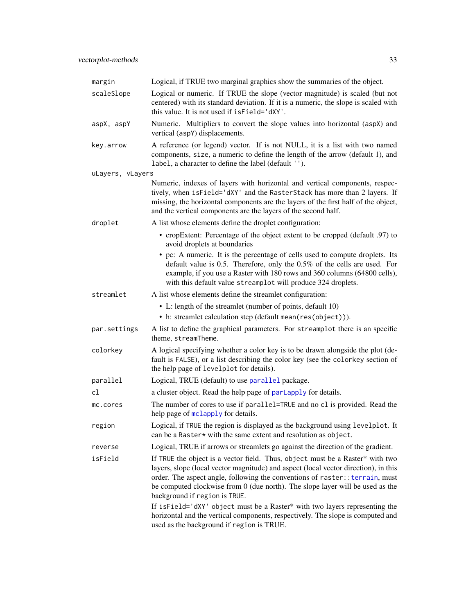<span id="page-32-0"></span>

| margin           | Logical, if TRUE two marginal graphics show the summaries of the object.                                                                                                                                                                                                                                                                                                                                                                                                                                                                                                             |
|------------------|--------------------------------------------------------------------------------------------------------------------------------------------------------------------------------------------------------------------------------------------------------------------------------------------------------------------------------------------------------------------------------------------------------------------------------------------------------------------------------------------------------------------------------------------------------------------------------------|
| scaleSlope       | Logical or numeric. If TRUE the slope (vector magnitude) is scaled (but not<br>centered) with its standard deviation. If it is a numeric, the slope is scaled with<br>this value. It is not used if is Field='dXY'.                                                                                                                                                                                                                                                                                                                                                                  |
| aspX, aspY       | Numeric. Multipliers to convert the slope values into horizontal (aspX) and<br>vertical (aspY) displacements.                                                                                                                                                                                                                                                                                                                                                                                                                                                                        |
| key.arrow        | A reference (or legend) vector. If is not NULL, it is a list with two named<br>components, size, a numeric to define the length of the arrow (default 1), and<br>label, a character to define the label (default '').                                                                                                                                                                                                                                                                                                                                                                |
| uLayers, vLayers |                                                                                                                                                                                                                                                                                                                                                                                                                                                                                                                                                                                      |
|                  | Numeric, indexes of layers with horizontal and vertical components, respec-<br>tively, when isField='dXY' and the RasterStack has more than 2 layers. If<br>missing, the horizontal components are the layers of the first half of the object,<br>and the vertical components are the layers of the second half.                                                                                                                                                                                                                                                                     |
| droplet          | A list whose elements define the droplet configuration:                                                                                                                                                                                                                                                                                                                                                                                                                                                                                                                              |
|                  | • cropExtent: Percentage of the object extent to be cropped (default .97) to<br>avoid droplets at boundaries                                                                                                                                                                                                                                                                                                                                                                                                                                                                         |
|                  | • pc: A numeric. It is the percentage of cells used to compute droplets. Its<br>default value is $0.5$ . Therefore, only the $0.5\%$ of the cells are used. For<br>example, if you use a Raster with 180 rows and 360 columns (64800 cells),<br>with this default value streamplot will produce 324 droplets.                                                                                                                                                                                                                                                                        |
| streamlet        | A list whose elements define the streamlet configuration:                                                                                                                                                                                                                                                                                                                                                                                                                                                                                                                            |
|                  | • L: length of the streamlet (number of points, default 10)<br>• h: streamlet calculation step (default mean(res(object))).                                                                                                                                                                                                                                                                                                                                                                                                                                                          |
| par.settings     | A list to define the graphical parameters. For streamplot there is an specific<br>theme, streamTheme.                                                                                                                                                                                                                                                                                                                                                                                                                                                                                |
| colorkey         | A logical specifying whether a color key is to be drawn alongside the plot (de-<br>fault is FALSE), or a list describing the color key (see the colorkey section of<br>the help page of levelplot for details).                                                                                                                                                                                                                                                                                                                                                                      |
| parallel         | Logical, TRUE (default) to use parallel package.                                                                                                                                                                                                                                                                                                                                                                                                                                                                                                                                     |
| cl               | a cluster object. Read the help page of parlapply for details.                                                                                                                                                                                                                                                                                                                                                                                                                                                                                                                       |
| mc.cores         | The number of cores to use if parallel=TRUE and no cl is provided. Read the<br>help page of mclapply for details.                                                                                                                                                                                                                                                                                                                                                                                                                                                                    |
| region           | Logical, if TRUE the region is displayed as the background using levelplot. It<br>can be a Raster* with the same extent and resolution as object.                                                                                                                                                                                                                                                                                                                                                                                                                                    |
| reverse          | Logical, TRUE if arrows or streamlets go against the direction of the gradient.                                                                                                                                                                                                                                                                                                                                                                                                                                                                                                      |
| isField          | If TRUE the object is a vector field. Thus, object must be a Raster* with two<br>layers, slope (local vector magnitude) and aspect (local vector direction), in this<br>order. The aspect angle, following the conventions of raster:: terrain, must<br>be computed clockwise from 0 (due north). The slope layer will be used as the<br>background if region is TRUE.<br>If isField='dXY' object must be a Raster* with two layers representing the<br>horizontal and the vertical components, respectively. The slope is computed and<br>used as the background if region is TRUE. |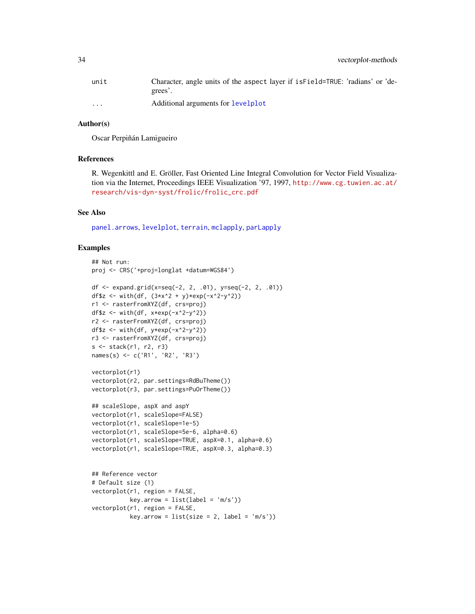<span id="page-33-0"></span>

| unit                    | Character, angle units of the aspect layer if is Field=TRUE: 'radians' or 'de-<br>grees'. |
|-------------------------|-------------------------------------------------------------------------------------------|
| $\cdot$ $\cdot$ $\cdot$ | Additional arguments for levelplot                                                        |

# Author(s)

Oscar Perpiñán Lamigueiro

#### References

R. Wegenkittl and E. Gröller, Fast Oriented Line Integral Convolution for Vector Field Visualization via the Internet, Proceedings IEEE Visualization '97, 1997, [http://www.cg.tuwien.ac.at/](http://www.cg.tuwien.ac.at/research/vis-dyn-syst/frolic/frolic_crc.pdf) [research/vis-dyn-syst/frolic/frolic\\_crc.pdf](http://www.cg.tuwien.ac.at/research/vis-dyn-syst/frolic/frolic_crc.pdf)

#### See Also

[panel.arrows](#page-0-0), [levelplot](#page-18-1), [terrain](#page-0-0), [mclapply](#page-0-0), [parLapply](#page-0-0)

```
## Not run:
proj <- CRS('+proj=longlat +datum=WGS84')
df <- expand.grid(x=seq(-2, 2, .01), y=seq(-2, 2, .01))
df$z <- with(df, (3*x^2 + y)*exp(-x^2-y^2))
r1 <- rasterFromXYZ(df, crs=proj)
df$z \leftarrow with(df, x*exp(-x^2-y^2))
r2 <- rasterFromXYZ(df, crs=proj)
df$z <- with(df, y*exp(-x^2-y^2))
r3 <- rasterFromXYZ(df, crs=proj)
s <- stack(r1, r2, r3)
names(s) <- c('R1', 'R2', 'R3')
vectorplot(r1)
vectorplot(r2, par.settings=RdBuTheme())
vectorplot(r3, par.settings=PuOrTheme())
## scaleSlope, aspX and aspY
vectorplot(r1, scaleSlope=FALSE)
vectorplot(r1, scaleSlope=1e-5)
vectorplot(r1, scaleSlope=5e-6, alpha=0.6)
vectorplot(r1, scaleSlope=TRUE, aspX=0.1, alpha=0.6)
vectorplot(r1, scaleSlope=TRUE, aspX=0.3, alpha=0.3)
## Reference vector
# Default size (1)
vectorplot(r1, region = FALSE,
          key.array = list(label = 'm/s'))vectorplot(r1, region = FALSE,
           key.array = list(size = 2, label = 'm/s'))
```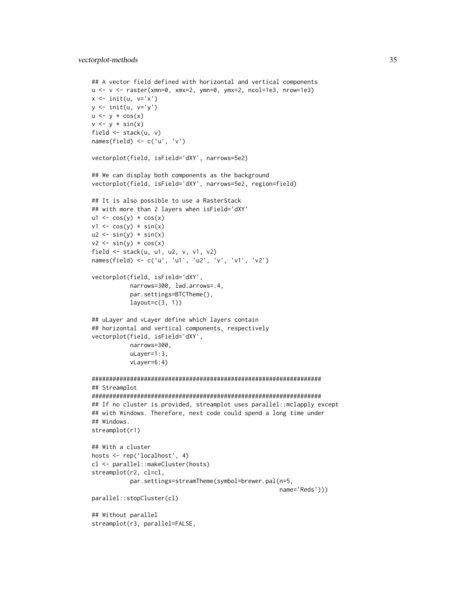```
## A vector field defined with horizontal and vertical components
u <- v <- raster(xmn=0, xmx=2, ymn=0, ymx=2, ncol=1e3, nrow=1e3)
x \le -\text{init}(u, v='x')y \leftarrow \text{init}(u, v='y')u \leftarrow y * cos(x)v \leftarrow y * sin(x)field <- stack(u, v)
names(field) <- c('u', 'v')
vectorplot(field, isField='dXY', narrows=5e2)
## We can display both components as the background
vectorplot(field, isField='dXY', narrows=5e2, region=field)
## It is also possible to use a RasterStack
## with more than 2 layers when isField='dXY'
ul \leftarrow cos(y) * cos(x)v1 \leftarrow \cos(y) * \sin(x)u2 \le -\sin(y) \cdot \sin(x)v2 \le -\sin(y) \cdot \cos(x)field <- stack(u, u1, u2, v, v1, v2)
names(field) <- c('u', 'u1', 'u2', 'v', 'v1', 'v2')
vectorplot(field, isField='dXY',
           narrows=300, lwd.arrows=.4,
           par.settings=BTCTheme(),
           layout=c(3, 1))## uLayer and vLayer define which layers contain
## horizontal and vertical components, respectively
vectorplot(field, isField='dXY',
           narrows=300,
           uLayer=1:3,
           vLayer=6:4)
##################################################################
## Streamplot
##################################################################
## If no cluster is provided, streamplot uses parallel::mclapply except
## with Windows. Therefore, next code could spend a long time under
## Windows.
streamplot(r1)
## With a cluster
hosts <- rep('localhost', 4)
cl <- parallel::makeCluster(hosts)
streamplot(r2, cl=cl,
           par.settings=streamTheme(symbol=brewer.pal(n=5,
                                                         name='Reds')))
parallel::stopCluster(cl)
## Without parallel
streamplot(r3, parallel=FALSE,
```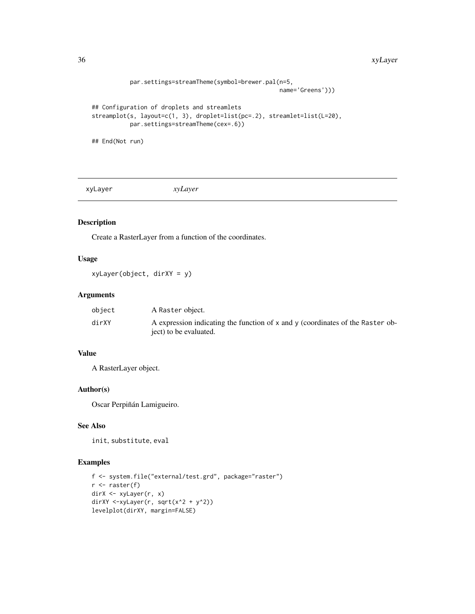#### <span id="page-35-0"></span>36 xyLayer

```
par.settings=streamTheme(symbol=brewer.pal(n=5,
                                                      name='Greens')))
## Configuration of droplets and streamlets
streamplot(s, layout=c(1, 3), droplet=list(pc=.2), streamlet=list(L=20),
          par.settings=streamTheme(cex=.6))
## End(Not run)
```
<span id="page-35-1"></span>xyLayer *xyLayer*

# Description

Create a RasterLayer from a function of the coordinates.

# Usage

xyLayer(object, dirXY = y)

# Arguments

| object | A Raster object.                                                               |
|--------|--------------------------------------------------------------------------------|
| dirXY  | A expression indicating the function of x and y (coordinates of the Raster ob- |
|        | ject) to be evaluated.                                                         |

# Value

A RasterLayer object.

# Author(s)

Oscar Perpiñán Lamigueiro.

# See Also

init, substitute, eval

```
f <- system.file("external/test.grd", package="raster")
r <- raster(f)
dirX <- xyLayer(r, x)
dirXY <-xyLayer(r, sqrt(x^2 + y^2))
levelplot(dirXY, margin=FALSE)
```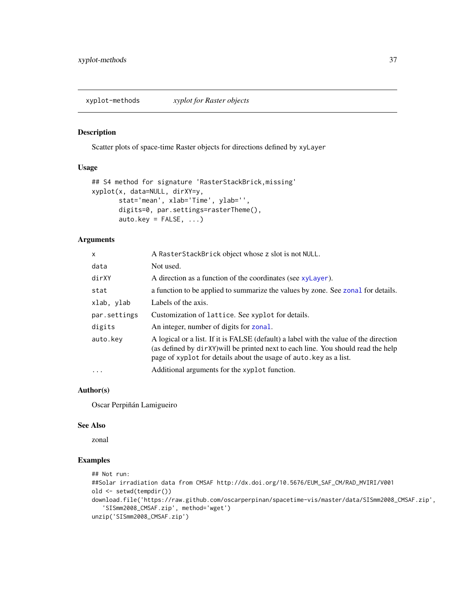<span id="page-36-0"></span>xyplot-methods *xyplot for Raster objects*

# <span id="page-36-1"></span>Description

Scatter plots of space-time Raster objects for directions defined by xyLayer

#### Usage

```
## S4 method for signature 'RasterStackBrick,missing'
xyplot(x, data=NULL, dirXY=y,
       stat='mean', xlab='Time', ylab='',
      digits=0, par.settings=rasterTheme(),
       auto.key = FALSE, ...)
```
# Arguments

| X            | A RasterStackBrick object whose z slot is not NULL.                                                                                                                                                                                              |
|--------------|--------------------------------------------------------------------------------------------------------------------------------------------------------------------------------------------------------------------------------------------------|
| data         | Not used.                                                                                                                                                                                                                                        |
| dirXY        | A direction as a function of the coordinates (see xyLayer).                                                                                                                                                                                      |
| stat         | a function to be applied to summarize the values by zone. See zonal for details.                                                                                                                                                                 |
| xlab, ylab   | Labels of the axis.                                                                                                                                                                                                                              |
| par.settings | Customization of lattice. See xyplot for details.                                                                                                                                                                                                |
| digits       | An integer, number of digits for zonal.                                                                                                                                                                                                          |
| auto.key     | A logical or a list. If it is FALSE (default) a label with the value of the direction<br>(as defined by dirXY) will be printed next to each line. You should read the help<br>page of xyplot for details about the usage of auto, key as a list. |
| $\ddots$ .   | Additional arguments for the xyplot function.                                                                                                                                                                                                    |

# Author(s)

Oscar Perpiñán Lamigueiro

#### See Also

zonal

```
## Not run:
##Solar irradiation data from CMSAF http://dx.doi.org/10.5676/EUM_SAF_CM/RAD_MVIRI/V001
old <- setwd(tempdir())
download.file('https://raw.github.com/oscarperpinan/spacetime-vis/master/data/SISmm2008_CMSAF.zip',
   'SISmm2008_CMSAF.zip', method='wget')
unzip('SISmm2008_CMSAF.zip')
```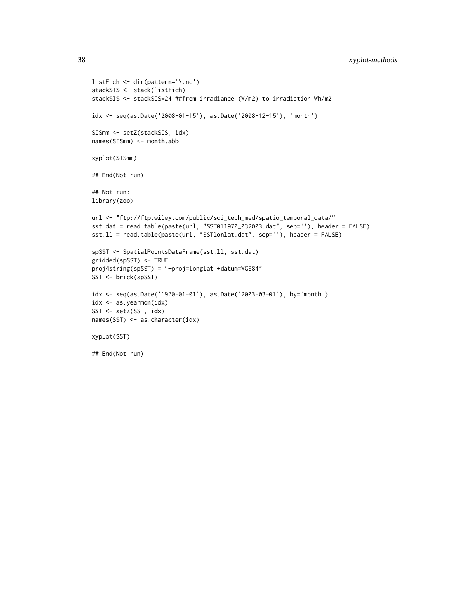```
listFich <- dir(pattern='\.nc')
stackSIS <- stack(listFich)
stackSIS <- stackSIS*24 ##from irradiance (W/m2) to irradiation Wh/m2
idx <- seq(as.Date('2008-01-15'), as.Date('2008-12-15'), 'month')
SISmm <- setZ(stackSIS, idx)
names(SISmm) <- month.abb
xyplot(SISmm)
## End(Not run)
## Not run:
library(zoo)
url <- "ftp://ftp.wiley.com/public/sci_tech_med/spatio_temporal_data/"
sst.dat = read.table(paste(url, "SST011970_032003.dat", sep=''), header = FALSE)
sst.ll = read.table(paste(url, "SSTlonlat.dat", sep=''), header = FALSE)
spSST <- SpatialPointsDataFrame(sst.ll, sst.dat)
gridded(spSST) <- TRUE
proj4string(spSST) = "+proj=longlat +datum=WGS84"
SST <- brick(spSST)
idx <- seq(as.Date('1970-01-01'), as.Date('2003-03-01'), by='month')
idx <- as.yearmon(idx)
SST <- setZ(SST, idx)
names(SST) <- as.character(idx)
xyplot(SST)
## End(Not run)
```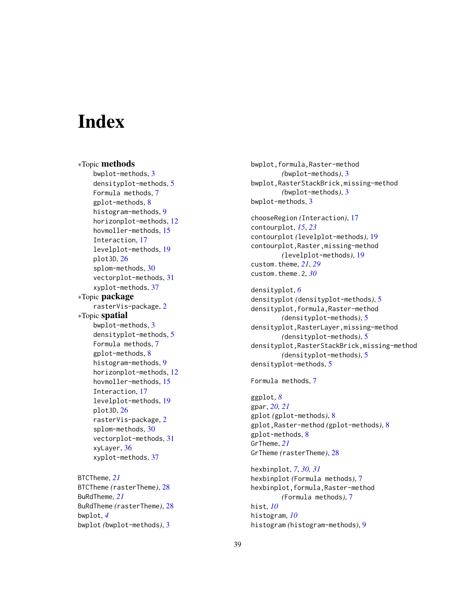# <span id="page-38-0"></span>**Index**

∗Topic methods bwplot-methods, [3](#page-2-0) densityplot-methods, [5](#page-4-0) Formula methods, [7](#page-6-0) gplot-methods, [8](#page-7-0) histogram-methods, [9](#page-8-0) horizonplot-methods, [12](#page-11-0) hovmoller-methods, [15](#page-14-0) Interaction, [17](#page-16-0) levelplot-methods, [19](#page-18-0) plot3D, [26](#page-25-0) splom-methods, [30](#page-29-0) vectorplot-methods, [31](#page-30-0) xyplot-methods, [37](#page-36-0) ∗Topic package rasterVis-package, [2](#page-1-0) ∗Topic spatial bwplot-methods, [3](#page-2-0) densityplot-methods, [5](#page-4-0) Formula methods, [7](#page-6-0) gplot-methods, [8](#page-7-0) histogram-methods, [9](#page-8-0) horizonplot-methods, [12](#page-11-0) hovmoller-methods, [15](#page-14-0) Interaction, [17](#page-16-0) levelplot-methods, [19](#page-18-0) plot3D, [26](#page-25-0) rasterVis-package, [2](#page-1-0) splom-methods, [30](#page-29-0) vectorplot-methods, [31](#page-30-0) xyLayer, [36](#page-35-0) xyplot-methods, [37](#page-36-0)

BTCTheme, *[21](#page-20-0)* BTCTheme *(*rasterTheme*)*, [28](#page-27-0) BuRdTheme, *[21](#page-20-0)* BuRdTheme *(*rasterTheme*)*, [28](#page-27-0) bwplot, *[4](#page-3-0)* bwplot *(*bwplot-methods*)*, [3](#page-2-0)

bwplot,formula,Raster-method *(*bwplot-methods*)*, [3](#page-2-0) bwplot,RasterStackBrick,missing-method *(*bwplot-methods*)*, [3](#page-2-0) bwplot-methods, [3](#page-2-0)

chooseRegion *(*Interaction*)*, [17](#page-16-0) contourplot, *[15](#page-14-0)*, *[23](#page-22-0)* contourplot *(*levelplot-methods*)*, [19](#page-18-0) contourplot,Raster,missing-method *(*levelplot-methods*)*, [19](#page-18-0) custom.theme, *[21](#page-20-0)*, *[29](#page-28-0)* custom.theme.2, *[30](#page-29-0)*

densityplot, *[6](#page-5-0)* densityplot *(*densityplot-methods*)*, [5](#page-4-0) densityplot,formula,Raster-method *(*densityplot-methods*)*, [5](#page-4-0) densityplot,RasterLayer,missing-method *(*densityplot-methods*)*, [5](#page-4-0) densityplot,RasterStackBrick,missing-method *(*densityplot-methods*)*, [5](#page-4-0) densityplot-methods, [5](#page-4-0)

Formula methods, [7](#page-6-0)

ggplot, *[8](#page-7-0)* gpar, *[20,](#page-19-0) [21](#page-20-0)* gplot *(*gplot-methods*)*, [8](#page-7-0) gplot,Raster-method *(*gplot-methods*)*, [8](#page-7-0) gplot-methods, [8](#page-7-0) GrTheme, *[21](#page-20-0)* GrTheme *(*rasterTheme*)*, [28](#page-27-0)

hexbinplot, *[7](#page-6-0)*, *[30,](#page-29-0) [31](#page-30-0)* hexbinplot *(*Formula methods*)*, [7](#page-6-0) hexbinplot,formula,Raster-method *(*Formula methods*)*, [7](#page-6-0) hist, *[10](#page-9-0)* histogram, *[10](#page-9-0)* histogram *(*histogram-methods*)*, [9](#page-8-0)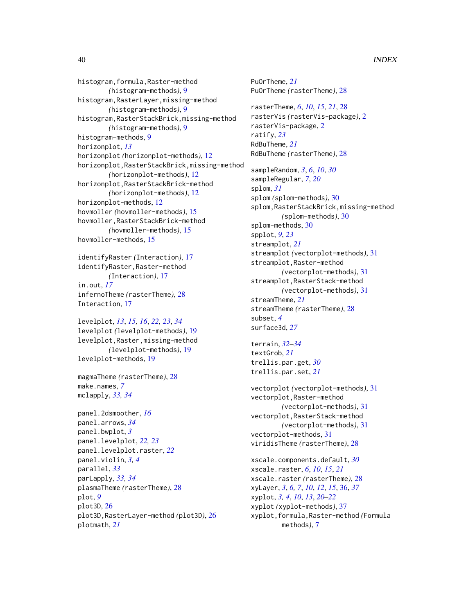histogram,formula,Raster-method *(*histogram-methods*)*, [9](#page-8-0) histogram,RasterLayer,missing-method *(*histogram-methods*)*, [9](#page-8-0) histogram,RasterStackBrick,missing-method *(*histogram-methods*)*, [9](#page-8-0) histogram-methods, [9](#page-8-0) horizonplot, *[13](#page-12-0)* horizonplot *(*horizonplot-methods*)*, [12](#page-11-0) horizonplot,RasterStackBrick,missing-method *(*horizonplot-methods*)*, [12](#page-11-0) horizonplot,RasterStackBrick-method *(*horizonplot-methods*)*, [12](#page-11-0) horizonplot-methods, [12](#page-11-0) hovmoller *(*hovmoller-methods*)*, [15](#page-14-0) hovmoller,RasterStackBrick-method *(*hovmoller-methods*)*, [15](#page-14-0) hovmoller-methods, [15](#page-14-0)

identifyRaster *(*Interaction*)*, [17](#page-16-0) identifyRaster,Raster-method *(*Interaction*)*, [17](#page-16-0) in.out, *[17](#page-16-0)* infernoTheme *(*rasterTheme*)*, [28](#page-27-0) Interaction, [17](#page-16-0)

levelplot, *[13](#page-12-0)*, *[15,](#page-14-0) [16](#page-15-0)*, *[22,](#page-21-0) [23](#page-22-0)*, *[34](#page-33-0)* levelplot *(*levelplot-methods*)*, [19](#page-18-0) levelplot,Raster,missing-method *(*levelplot-methods*)*, [19](#page-18-0) levelplot-methods, [19](#page-18-0)

magmaTheme *(*rasterTheme*)*, [28](#page-27-0) make.names, *[7](#page-6-0)* mclapply, *[33,](#page-32-0) [34](#page-33-0)*

```
panel.2dsmoother, 16
panel.arrows, 34
panel.bwplot, 3
panel.levelplot, 22, 23
panel.levelplot.raster, 22
panel.violin, 3, 4
parallel, 33
parLapply, 33, 34
plasmaTheme (rasterTheme), 28
plot, 9
plot3D, 26
plot3D,RasterLayer-method (plot3D), 26
plotmath, 21
```
PuOrTheme, *[21](#page-20-0)* PuOrTheme *(*rasterTheme*)*, [28](#page-27-0) rasterTheme, *[6](#page-5-0)*, *[10](#page-9-0)*, *[15](#page-14-0)*, *[21](#page-20-0)*, [28](#page-27-0) rasterVis *(*rasterVis-package*)*, [2](#page-1-0) rasterVis-package, [2](#page-1-0) ratify, *[23](#page-22-0)* RdBuTheme, *[21](#page-20-0)* RdBuTheme *(*rasterTheme*)*, [28](#page-27-0) sampleRandom, *[3](#page-2-0)*, *[6](#page-5-0)*, *[10](#page-9-0)*, *[30](#page-29-0)* sampleRegular, *[7](#page-6-0)*, *[20](#page-19-0)* splom, *[31](#page-30-0)* splom *(*splom-methods*)*, [30](#page-29-0) splom,RasterStackBrick,missing-method *(*splom-methods*)*, [30](#page-29-0) splom-methods, [30](#page-29-0) spplot, *[9](#page-8-0)*, *[23](#page-22-0)* streamplot, *[21](#page-20-0)* streamplot *(*vectorplot-methods*)*, [31](#page-30-0) streamplot,Raster-method *(*vectorplot-methods*)*, [31](#page-30-0) streamplot,RasterStack-method *(*vectorplot-methods*)*, [31](#page-30-0) streamTheme, *[21](#page-20-0)* streamTheme *(*rasterTheme*)*, [28](#page-27-0)

subset, *[4](#page-3-0)* surface3d, *[27](#page-26-0)*

terrain, *[32](#page-31-0)[–34](#page-33-0)* textGrob, *[21](#page-20-0)* trellis.par.get, *[30](#page-29-0)* trellis.par.set, *[21](#page-20-0)*

vectorplot *(*vectorplot-methods*)*, [31](#page-30-0) vectorplot,Raster-method *(*vectorplot-methods*)*, [31](#page-30-0) vectorplot,RasterStack-method *(*vectorplot-methods*)*, [31](#page-30-0) vectorplot-methods, [31](#page-30-0) viridisTheme *(*rasterTheme*)*, [28](#page-27-0)

xscale.components.default, *[30](#page-29-0)* xscale.raster, *[6](#page-5-0)*, *[10](#page-9-0)*, *[15](#page-14-0)*, *[21](#page-20-0)* xscale.raster *(*rasterTheme*)*, [28](#page-27-0) xyLayer, *[3](#page-2-0)*, *[6,](#page-5-0) [7](#page-6-0)*, *[10](#page-9-0)*, *[12](#page-11-0)*, *[15](#page-14-0)*, [36,](#page-35-0) *[37](#page-36-0)* xyplot, *[3,](#page-2-0) [4](#page-3-0)*, *[10](#page-9-0)*, *[13](#page-12-0)*, *[20](#page-19-0)[–22](#page-21-0)* xyplot *(*xyplot-methods*)*, [37](#page-36-0) xyplot,formula,Raster-method *(*Formula methods*)*, [7](#page-6-0)